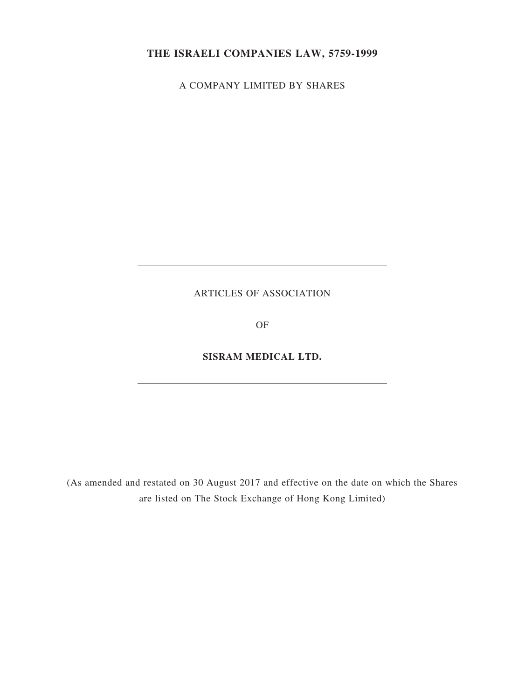# **THE ISRAELI COMPANIES LAW, 5759-1999**

A COMPANY LIMITED BY SHARES

# ARTICLES OF ASSOCIATION

OF

### **SISRAM MEDICAL LTD.**

(As amended and restated on 30 August 2017 and effective on the date on which the Shares are listed on The Stock Exchange of Hong Kong Limited)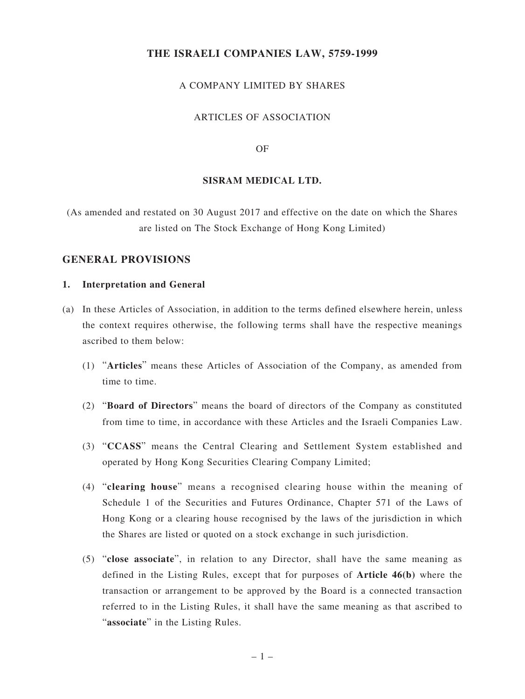### **THE ISRAELI COMPANIES LAW, 5759-1999**

### A COMPANY LIMITED BY SHARES

#### ARTICLES OF ASSOCIATION

#### OF

#### **SISRAM MEDICAL LTD.**

(As amended and restated on 30 August 2017 and effective on the date on which the Shares are listed on The Stock Exchange of Hong Kong Limited)

#### **GENERAL PROVISIONS**

#### **1. Interpretation and General**

- (a) In these Articles of Association, in addition to the terms defined elsewhere herein, unless the context requires otherwise, the following terms shall have the respective meanings ascribed to them below:
	- (1) "**Articles**" means these Articles of Association of the Company, as amended from time to time.
	- (2) "**Board of Directors**" means the board of directors of the Company as constituted from time to time, in accordance with these Articles and the Israeli Companies Law.
	- (3) "**CCASS**" means the Central Clearing and Settlement System established and operated by Hong Kong Securities Clearing Company Limited;
	- (4) "**clearing house**" means a recognised clearing house within the meaning of Schedule 1 of the Securities and Futures Ordinance, Chapter 571 of the Laws of Hong Kong or a clearing house recognised by the laws of the jurisdiction in which the Shares are listed or quoted on a stock exchange in such jurisdiction.
	- (5) "**close associate**", in relation to any Director, shall have the same meaning as defined in the Listing Rules, except that for purposes of **Article 46(b)** where the transaction or arrangement to be approved by the Board is a connected transaction referred to in the Listing Rules, it shall have the same meaning as that ascribed to "**associate**" in the Listing Rules.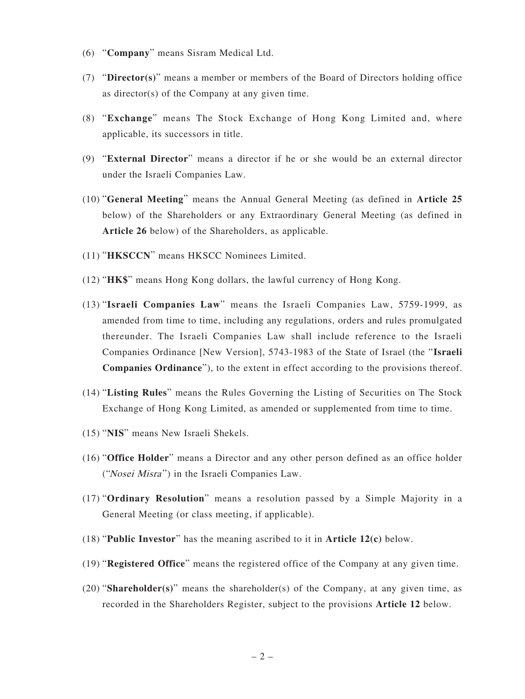- (6) "**Company**" means Sisram Medical Ltd.
- (7) "**Director(s)**" means a member or members of the Board of Directors holding office as director(s) of the Company at any given time.
- (8) "**Exchange**" means The Stock Exchange of Hong Kong Limited and, where applicable, its successors in title.
- (9) "**External Director**" means a director if he or she would be an external director under the Israeli Companies Law.
- (10) "**General Meeting**" means the Annual General Meeting (as defined in **Article 25** below) of the Shareholders or any Extraordinary General Meeting (as defined in **Article 26** below) of the Shareholders, as applicable.
- (11) "**HKSCCN**" means HKSCC Nominees Limited.
- (12) "**HK\$**" means Hong Kong dollars, the lawful currency of Hong Kong.
- (13) "**Israeli Companies Law**" means the Israeli Companies Law, 5759-1999, as amended from time to time, including any regulations, orders and rules promulgated thereunder. The Israeli Companies Law shall include reference to the Israeli Companies Ordinance [New Version], 5743-1983 of the State of Israel (the "**Israeli Companies Ordinance**"), to the extent in effect according to the provisions thereof.
- (14) "**Listing Rules**" means the Rules Governing the Listing of Securities on The Stock Exchange of Hong Kong Limited, as amended or supplemented from time to time.
- (15) "**NIS**" means New Israeli Shekels.
- (16) "**Office Holder**" means a Director and any other person defined as an office holder ("Nosei Misra ") in the Israeli Companies Law.
- (17) "**Ordinary Resolution**" means a resolution passed by a Simple Majority in a General Meeting (or class meeting, if applicable).
- (18) "**Public Investor**" has the meaning ascribed to it in **Article 12(c)** below.
- (19) "**Registered Office**" means the registered office of the Company at any given time.
- (20) "**Shareholder(s)**" means the shareholder(s) of the Company, at any given time, as recorded in the Shareholders Register, subject to the provisions **Article 12** below.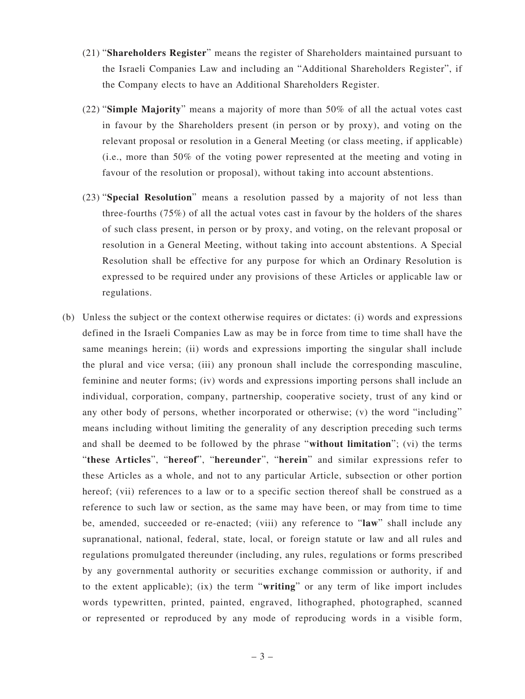- (21) "**Shareholders Register**" means the register of Shareholders maintained pursuant to the Israeli Companies Law and including an "Additional Shareholders Register", if the Company elects to have an Additional Shareholders Register.
- (22) "**Simple Majority**" means a majority of more than 50% of all the actual votes cast in favour by the Shareholders present (in person or by proxy), and voting on the relevant proposal or resolution in a General Meeting (or class meeting, if applicable) (i.e., more than 50% of the voting power represented at the meeting and voting in favour of the resolution or proposal), without taking into account abstentions.
- (23) "**Special Resolution**" means a resolution passed by a majority of not less than three-fourths (75%) of all the actual votes cast in favour by the holders of the shares of such class present, in person or by proxy, and voting, on the relevant proposal or resolution in a General Meeting, without taking into account abstentions. A Special Resolution shall be effective for any purpose for which an Ordinary Resolution is expressed to be required under any provisions of these Articles or applicable law or regulations.
- (b) Unless the subject or the context otherwise requires or dictates: (i) words and expressions defined in the Israeli Companies Law as may be in force from time to time shall have the same meanings herein; (ii) words and expressions importing the singular shall include the plural and vice versa; (iii) any pronoun shall include the corresponding masculine, feminine and neuter forms; (iv) words and expressions importing persons shall include an individual, corporation, company, partnership, cooperative society, trust of any kind or any other body of persons, whether incorporated or otherwise; (v) the word "including" means including without limiting the generality of any description preceding such terms and shall be deemed to be followed by the phrase "**without limitation**"; (vi) the terms "**these Articles**", "**hereof**", "**hereunder**", "**herein**" and similar expressions refer to these Articles as a whole, and not to any particular Article, subsection or other portion hereof; (vii) references to a law or to a specific section thereof shall be construed as a reference to such law or section, as the same may have been, or may from time to time be, amended, succeeded or re-enacted; (viii) any reference to "**law**" shall include any supranational, national, federal, state, local, or foreign statute or law and all rules and regulations promulgated thereunder (including, any rules, regulations or forms prescribed by any governmental authority or securities exchange commission or authority, if and to the extent applicable); (ix) the term "**writing**" or any term of like import includes words typewritten, printed, painted, engraved, lithographed, photographed, scanned or represented or reproduced by any mode of reproducing words in a visible form,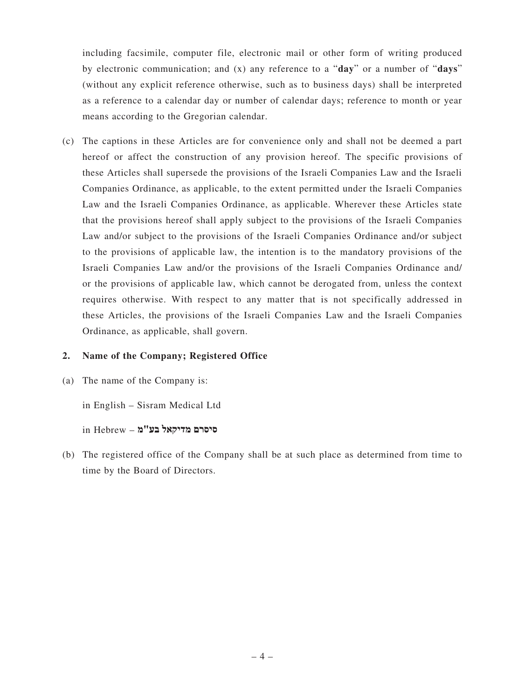including facsimile, computer file, electronic mail or other form of writing produced by electronic communication; and (x) any reference to a "**day**" or a number of "**days**" (without any explicit reference otherwise, such as to business days) shall be interpreted as a reference to a calendar day or number of calendar days; reference to month or year means according to the Gregorian calendar.

(c) The captions in these Articles are for convenience only and shall not be deemed a part hereof or affect the construction of any provision hereof. The specific provisions of these Articles shall supersede the provisions of the Israeli Companies Law and the Israeli Companies Ordinance, as applicable, to the extent permitted under the Israeli Companies Law and the Israeli Companies Ordinance, as applicable. Wherever these Articles state that the provisions hereof shall apply subject to the provisions of the Israeli Companies Law and/or subject to the provisions of the Israeli Companies Ordinance and/or subject to the provisions of applicable law, the intention is to the mandatory provisions of the Israeli Companies Law and/or the provisions of the Israeli Companies Ordinance and/ or the provisions of applicable law, which cannot be derogated from, unless the context requires otherwise. With respect to any matter that is not specifically addressed in these Articles, the provisions of the Israeli Companies Law and the Israeli Companies Ordinance, as applicable, shall govern.

### **2. Name of the Company; Registered Office**

(a) The name of the Company is:

in English – Sisram Medical Ltd

 $\mathop{\mathsf{in}}$  Hebrew – סיסרם מדיקאל בע

(b) The registered office of the Company shall be at such place as determined from time to time by the Board of Directors.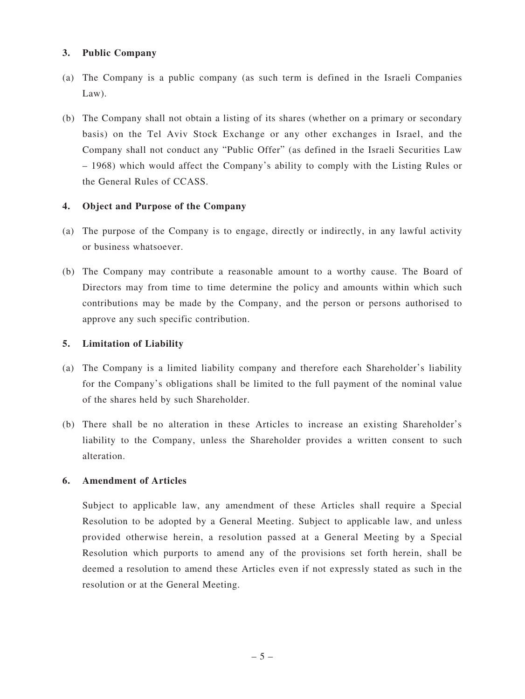### **3. Public Company**

- (a) The Company is a public company (as such term is defined in the Israeli Companies Law).
- (b) The Company shall not obtain a listing of its shares (whether on a primary or secondary basis) on the Tel Aviv Stock Exchange or any other exchanges in Israel, and the Company shall not conduct any "Public Offer" (as defined in the Israeli Securities Law – 1968) which would affect the Company's ability to comply with the Listing Rules or the General Rules of CCASS.

### **4. Object and Purpose of the Company**

- (a) The purpose of the Company is to engage, directly or indirectly, in any lawful activity or business whatsoever.
- (b) The Company may contribute a reasonable amount to a worthy cause. The Board of Directors may from time to time determine the policy and amounts within which such contributions may be made by the Company, and the person or persons authorised to approve any such specific contribution.

### **5. Limitation of Liability**

- (a) The Company is a limited liability company and therefore each Shareholder's liability for the Company's obligations shall be limited to the full payment of the nominal value of the shares held by such Shareholder.
- (b) There shall be no alteration in these Articles to increase an existing Shareholder's liability to the Company, unless the Shareholder provides a written consent to such alteration.

#### **6. Amendment of Articles**

Subject to applicable law, any amendment of these Articles shall require a Special Resolution to be adopted by a General Meeting. Subject to applicable law, and unless provided otherwise herein, a resolution passed at a General Meeting by a Special Resolution which purports to amend any of the provisions set forth herein, shall be deemed a resolution to amend these Articles even if not expressly stated as such in the resolution or at the General Meeting.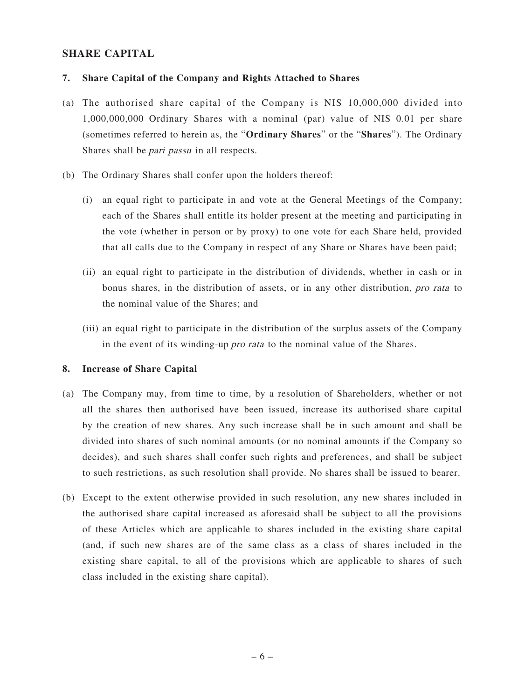# **SHARE CAPITAL**

### **7. Share Capital of the Company and Rights Attached to Shares**

- (a) The authorised share capital of the Company is NIS 10,000,000 divided into 1,000,000,000 Ordinary Shares with a nominal (par) value of NIS 0.01 per share (sometimes referred to herein as, the "**Ordinary Shares**" or the "**Shares**"). The Ordinary Shares shall be pari passu in all respects.
- (b) The Ordinary Shares shall confer upon the holders thereof:
	- (i) an equal right to participate in and vote at the General Meetings of the Company; each of the Shares shall entitle its holder present at the meeting and participating in the vote (whether in person or by proxy) to one vote for each Share held, provided that all calls due to the Company in respect of any Share or Shares have been paid;
	- (ii) an equal right to participate in the distribution of dividends, whether in cash or in bonus shares, in the distribution of assets, or in any other distribution, pro rata to the nominal value of the Shares; and
	- (iii) an equal right to participate in the distribution of the surplus assets of the Company in the event of its winding-up pro rata to the nominal value of the Shares.

### **8. Increase of Share Capital**

- (a) The Company may, from time to time, by a resolution of Shareholders, whether or not all the shares then authorised have been issued, increase its authorised share capital by the creation of new shares. Any such increase shall be in such amount and shall be divided into shares of such nominal amounts (or no nominal amounts if the Company so decides), and such shares shall confer such rights and preferences, and shall be subject to such restrictions, as such resolution shall provide. No shares shall be issued to bearer.
- (b) Except to the extent otherwise provided in such resolution, any new shares included in the authorised share capital increased as aforesaid shall be subject to all the provisions of these Articles which are applicable to shares included in the existing share capital (and, if such new shares are of the same class as a class of shares included in the existing share capital, to all of the provisions which are applicable to shares of such class included in the existing share capital).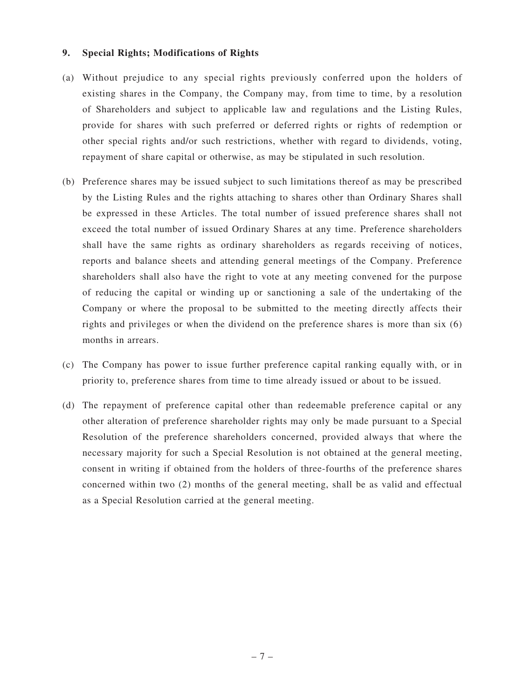#### **9. Special Rights; Modifications of Rights**

- (a) Without prejudice to any special rights previously conferred upon the holders of existing shares in the Company, the Company may, from time to time, by a resolution of Shareholders and subject to applicable law and regulations and the Listing Rules, provide for shares with such preferred or deferred rights or rights of redemption or other special rights and/or such restrictions, whether with regard to dividends, voting, repayment of share capital or otherwise, as may be stipulated in such resolution.
- (b) Preference shares may be issued subject to such limitations thereof as may be prescribed by the Listing Rules and the rights attaching to shares other than Ordinary Shares shall be expressed in these Articles. The total number of issued preference shares shall not exceed the total number of issued Ordinary Shares at any time. Preference shareholders shall have the same rights as ordinary shareholders as regards receiving of notices, reports and balance sheets and attending general meetings of the Company. Preference shareholders shall also have the right to vote at any meeting convened for the purpose of reducing the capital or winding up or sanctioning a sale of the undertaking of the Company or where the proposal to be submitted to the meeting directly affects their rights and privileges or when the dividend on the preference shares is more than six (6) months in arrears.
- (c) The Company has power to issue further preference capital ranking equally with, or in priority to, preference shares from time to time already issued or about to be issued.
- (d) The repayment of preference capital other than redeemable preference capital or any other alteration of preference shareholder rights may only be made pursuant to a Special Resolution of the preference shareholders concerned, provided always that where the necessary majority for such a Special Resolution is not obtained at the general meeting, consent in writing if obtained from the holders of three-fourths of the preference shares concerned within two (2) months of the general meeting, shall be as valid and effectual as a Special Resolution carried at the general meeting.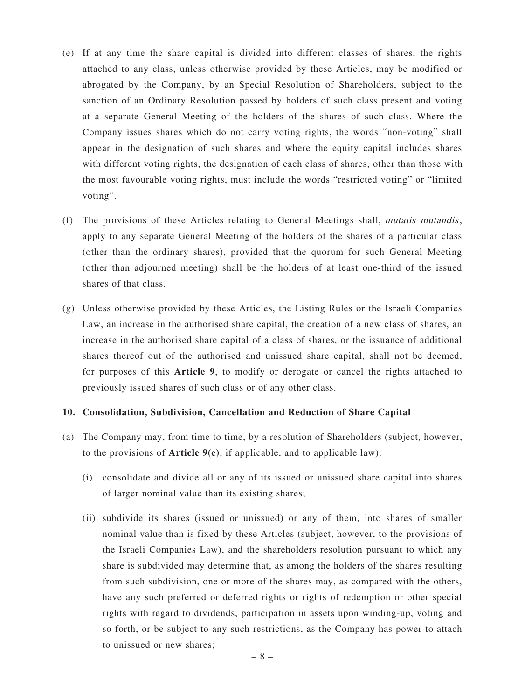- (e) If at any time the share capital is divided into different classes of shares, the rights attached to any class, unless otherwise provided by these Articles, may be modified or abrogated by the Company, by an Special Resolution of Shareholders, subject to the sanction of an Ordinary Resolution passed by holders of such class present and voting at a separate General Meeting of the holders of the shares of such class. Where the Company issues shares which do not carry voting rights, the words "non-voting" shall appear in the designation of such shares and where the equity capital includes shares with different voting rights, the designation of each class of shares, other than those with the most favourable voting rights, must include the words "restricted voting" or "limited voting".
- (f) The provisions of these Articles relating to General Meetings shall, mutatis mutandis, apply to any separate General Meeting of the holders of the shares of a particular class (other than the ordinary shares), provided that the quorum for such General Meeting (other than adjourned meeting) shall be the holders of at least one-third of the issued shares of that class.
- (g) Unless otherwise provided by these Articles, the Listing Rules or the Israeli Companies Law, an increase in the authorised share capital, the creation of a new class of shares, an increase in the authorised share capital of a class of shares, or the issuance of additional shares thereof out of the authorised and unissued share capital, shall not be deemed, for purposes of this **Article 9**, to modify or derogate or cancel the rights attached to previously issued shares of such class or of any other class.

#### **10. Consolidation, Subdivision, Cancellation and Reduction of Share Capital**

- (a) The Company may, from time to time, by a resolution of Shareholders (subject, however, to the provisions of **Article 9(e)**, if applicable, and to applicable law):
	- (i) consolidate and divide all or any of its issued or unissued share capital into shares of larger nominal value than its existing shares;
	- (ii) subdivide its shares (issued or unissued) or any of them, into shares of smaller nominal value than is fixed by these Articles (subject, however, to the provisions of the Israeli Companies Law), and the shareholders resolution pursuant to which any share is subdivided may determine that, as among the holders of the shares resulting from such subdivision, one or more of the shares may, as compared with the others, have any such preferred or deferred rights or rights of redemption or other special rights with regard to dividends, participation in assets upon winding-up, voting and so forth, or be subject to any such restrictions, as the Company has power to attach to unissued or new shares;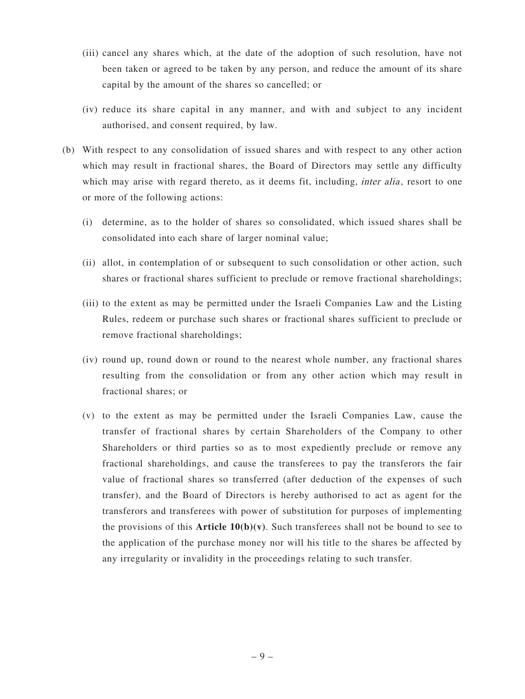- (iii) cancel any shares which, at the date of the adoption of such resolution, have not been taken or agreed to be taken by any person, and reduce the amount of its share capital by the amount of the shares so cancelled; or
- (iv) reduce its share capital in any manner, and with and subject to any incident authorised, and consent required, by law.
- (b) With respect to any consolidation of issued shares and with respect to any other action which may result in fractional shares, the Board of Directors may settle any difficulty which may arise with regard thereto, as it deems fit, including, *inter alia*, resort to one or more of the following actions:
	- (i) determine, as to the holder of shares so consolidated, which issued shares shall be consolidated into each share of larger nominal value;
	- (ii) allot, in contemplation of or subsequent to such consolidation or other action, such shares or fractional shares sufficient to preclude or remove fractional shareholdings;
	- (iii) to the extent as may be permitted under the Israeli Companies Law and the Listing Rules, redeem or purchase such shares or fractional shares sufficient to preclude or remove fractional shareholdings;
	- (iv) round up, round down or round to the nearest whole number, any fractional shares resulting from the consolidation or from any other action which may result in fractional shares; or
	- (v) to the extent as may be permitted under the Israeli Companies Law, cause the transfer of fractional shares by certain Shareholders of the Company to other Shareholders or third parties so as to most expediently preclude or remove any fractional shareholdings, and cause the transferees to pay the transferors the fair value of fractional shares so transferred (after deduction of the expenses of such transfer), and the Board of Directors is hereby authorised to act as agent for the transferors and transferees with power of substitution for purposes of implementing the provisions of this **Article**  $10(b)(v)$ . Such transferees shall not be bound to see to the application of the purchase money nor will his title to the shares be affected by any irregularity or invalidity in the proceedings relating to such transfer.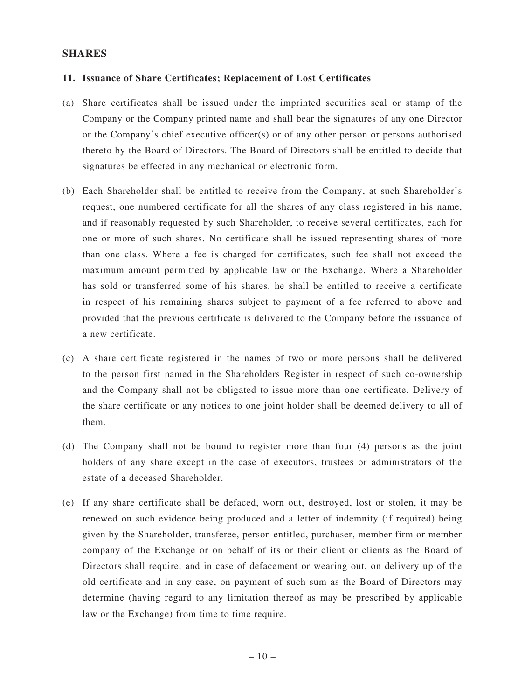### **SHARES**

#### **11. Issuance of Share Certificates; Replacement of Lost Certificates**

- (a) Share certificates shall be issued under the imprinted securities seal or stamp of the Company or the Company printed name and shall bear the signatures of any one Director or the Company's chief executive officer(s) or of any other person or persons authorised thereto by the Board of Directors. The Board of Directors shall be entitled to decide that signatures be effected in any mechanical or electronic form.
- (b) Each Shareholder shall be entitled to receive from the Company, at such Shareholder's request, one numbered certificate for all the shares of any class registered in his name, and if reasonably requested by such Shareholder, to receive several certificates, each for one or more of such shares. No certificate shall be issued representing shares of more than one class. Where a fee is charged for certificates, such fee shall not exceed the maximum amount permitted by applicable law or the Exchange. Where a Shareholder has sold or transferred some of his shares, he shall be entitled to receive a certificate in respect of his remaining shares subject to payment of a fee referred to above and provided that the previous certificate is delivered to the Company before the issuance of a new certificate.
- (c) A share certificate registered in the names of two or more persons shall be delivered to the person first named in the Shareholders Register in respect of such co-ownership and the Company shall not be obligated to issue more than one certificate. Delivery of the share certificate or any notices to one joint holder shall be deemed delivery to all of them.
- (d) The Company shall not be bound to register more than four (4) persons as the joint holders of any share except in the case of executors, trustees or administrators of the estate of a deceased Shareholder.
- (e) If any share certificate shall be defaced, worn out, destroyed, lost or stolen, it may be renewed on such evidence being produced and a letter of indemnity (if required) being given by the Shareholder, transferee, person entitled, purchaser, member firm or member company of the Exchange or on behalf of its or their client or clients as the Board of Directors shall require, and in case of defacement or wearing out, on delivery up of the old certificate and in any case, on payment of such sum as the Board of Directors may determine (having regard to any limitation thereof as may be prescribed by applicable law or the Exchange) from time to time require.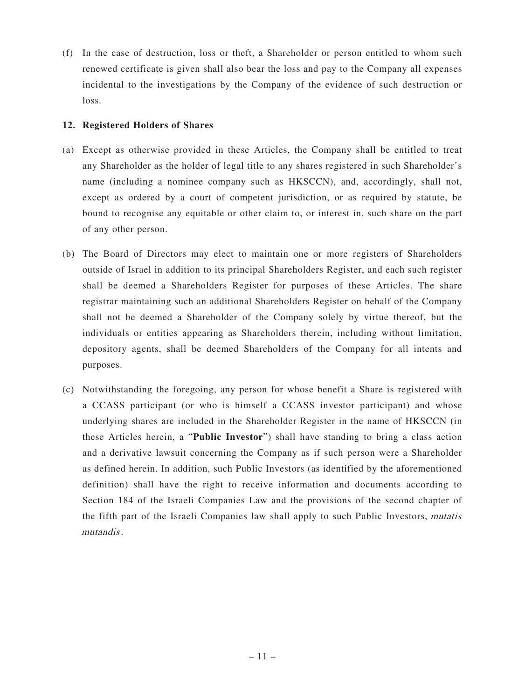(f) In the case of destruction, loss or theft, a Shareholder or person entitled to whom such renewed certificate is given shall also bear the loss and pay to the Company all expenses incidental to the investigations by the Company of the evidence of such destruction or loss.

### **12. Registered Holders of Shares**

- (a) Except as otherwise provided in these Articles, the Company shall be entitled to treat any Shareholder as the holder of legal title to any shares registered in such Shareholder's name (including a nominee company such as HKSCCN), and, accordingly, shall not, except as ordered by a court of competent jurisdiction, or as required by statute, be bound to recognise any equitable or other claim to, or interest in, such share on the part of any other person.
- (b) The Board of Directors may elect to maintain one or more registers of Shareholders outside of Israel in addition to its principal Shareholders Register, and each such register shall be deemed a Shareholders Register for purposes of these Articles. The share registrar maintaining such an additional Shareholders Register on behalf of the Company shall not be deemed a Shareholder of the Company solely by virtue thereof, but the individuals or entities appearing as Shareholders therein, including without limitation, depository agents, shall be deemed Shareholders of the Company for all intents and purposes.
- (c) Notwithstanding the foregoing, any person for whose benefit a Share is registered with a CCASS participant (or who is himself a CCASS investor participant) and whose underlying shares are included in the Shareholder Register in the name of HKSCCN (in these Articles herein, a "**Public Investor**") shall have standing to bring a class action and a derivative lawsuit concerning the Company as if such person were a Shareholder as defined herein. In addition, such Public Investors (as identified by the aforementioned definition) shall have the right to receive information and documents according to Section 184 of the Israeli Companies Law and the provisions of the second chapter of the fifth part of the Israeli Companies law shall apply to such Public Investors, mutatis mutandis.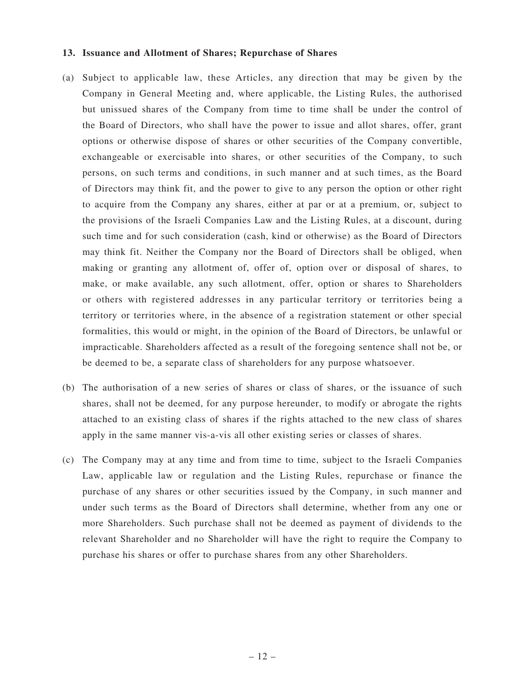#### **13. Issuance and Allotment of Shares; Repurchase of Shares**

- (a) Subject to applicable law, these Articles, any direction that may be given by the Company in General Meeting and, where applicable, the Listing Rules, the authorised but unissued shares of the Company from time to time shall be under the control of the Board of Directors, who shall have the power to issue and allot shares, offer, grant options or otherwise dispose of shares or other securities of the Company convertible, exchangeable or exercisable into shares, or other securities of the Company, to such persons, on such terms and conditions, in such manner and at such times, as the Board of Directors may think fit, and the power to give to any person the option or other right to acquire from the Company any shares, either at par or at a premium, or, subject to the provisions of the Israeli Companies Law and the Listing Rules, at a discount, during such time and for such consideration (cash, kind or otherwise) as the Board of Directors may think fit. Neither the Company nor the Board of Directors shall be obliged, when making or granting any allotment of, offer of, option over or disposal of shares, to make, or make available, any such allotment, offer, option or shares to Shareholders or others with registered addresses in any particular territory or territories being a territory or territories where, in the absence of a registration statement or other special formalities, this would or might, in the opinion of the Board of Directors, be unlawful or impracticable. Shareholders affected as a result of the foregoing sentence shall not be, or be deemed to be, a separate class of shareholders for any purpose whatsoever.
- (b) The authorisation of a new series of shares or class of shares, or the issuance of such shares, shall not be deemed, for any purpose hereunder, to modify or abrogate the rights attached to an existing class of shares if the rights attached to the new class of shares apply in the same manner vis-a-vis all other existing series or classes of shares.
- (c) The Company may at any time and from time to time, subject to the Israeli Companies Law, applicable law or regulation and the Listing Rules, repurchase or finance the purchase of any shares or other securities issued by the Company, in such manner and under such terms as the Board of Directors shall determine, whether from any one or more Shareholders. Such purchase shall not be deemed as payment of dividends to the relevant Shareholder and no Shareholder will have the right to require the Company to purchase his shares or offer to purchase shares from any other Shareholders.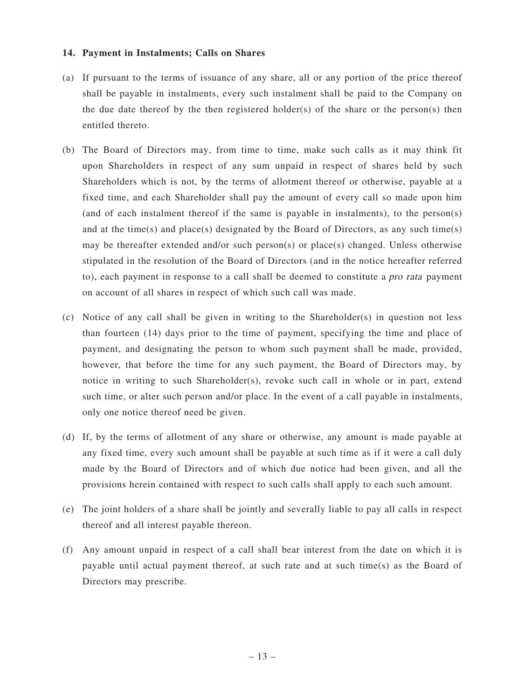### **14. Payment in Instalments; Calls on Shares**

- (a) If pursuant to the terms of issuance of any share, all or any portion of the price thereof shall be payable in instalments, every such instalment shall be paid to the Company on the due date thereof by the then registered holder(s) of the share or the person(s) then entitled thereto.
- (b) The Board of Directors may, from time to time, make such calls as it may think fit upon Shareholders in respect of any sum unpaid in respect of shares held by such Shareholders which is not, by the terms of allotment thereof or otherwise, payable at a fixed time, and each Shareholder shall pay the amount of every call so made upon him (and of each instalment thereof if the same is payable in instalments), to the person(s) and at the time(s) and place(s) designated by the Board of Directors, as any such time(s) may be thereafter extended and/or such person(s) or place(s) changed. Unless otherwise stipulated in the resolution of the Board of Directors (and in the notice hereafter referred to), each payment in response to a call shall be deemed to constitute a pro rata payment on account of all shares in respect of which such call was made.
- (c) Notice of any call shall be given in writing to the Shareholder(s) in question not less than fourteen (14) days prior to the time of payment, specifying the time and place of payment, and designating the person to whom such payment shall be made, provided, however, that before the time for any such payment, the Board of Directors may, by notice in writing to such Shareholder(s), revoke such call in whole or in part, extend such time, or alter such person and/or place. In the event of a call payable in instalments, only one notice thereof need be given.
- (d) If, by the terms of allotment of any share or otherwise, any amount is made payable at any fixed time, every such amount shall be payable at such time as if it were a call duly made by the Board of Directors and of which due notice had been given, and all the provisions herein contained with respect to such calls shall apply to each such amount.
- (e) The joint holders of a share shall be jointly and severally liable to pay all calls in respect thereof and all interest payable thereon.
- (f) Any amount unpaid in respect of a call shall bear interest from the date on which it is payable until actual payment thereof, at such rate and at such time(s) as the Board of Directors may prescribe.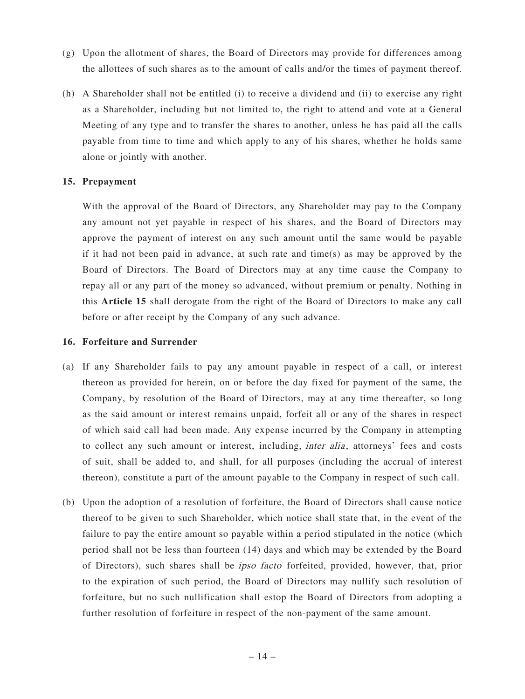- (g) Upon the allotment of shares, the Board of Directors may provide for differences among the allottees of such shares as to the amount of calls and/or the times of payment thereof.
- (h) A Shareholder shall not be entitled (i) to receive a dividend and (ii) to exercise any right as a Shareholder, including but not limited to, the right to attend and vote at a General Meeting of any type and to transfer the shares to another, unless he has paid all the calls payable from time to time and which apply to any of his shares, whether he holds same alone or jointly with another.

### **15. Prepayment**

With the approval of the Board of Directors, any Shareholder may pay to the Company any amount not yet payable in respect of his shares, and the Board of Directors may approve the payment of interest on any such amount until the same would be payable if it had not been paid in advance, at such rate and time(s) as may be approved by the Board of Directors. The Board of Directors may at any time cause the Company to repay all or any part of the money so advanced, without premium or penalty. Nothing in this **Article 15** shall derogate from the right of the Board of Directors to make any call before or after receipt by the Company of any such advance.

#### **16. Forfeiture and Surrender**

- (a) If any Shareholder fails to pay any amount payable in respect of a call, or interest thereon as provided for herein, on or before the day fixed for payment of the same, the Company, by resolution of the Board of Directors, may at any time thereafter, so long as the said amount or interest remains unpaid, forfeit all or any of the shares in respect of which said call had been made. Any expense incurred by the Company in attempting to collect any such amount or interest, including, *inter alia*, attorneys' fees and costs of suit, shall be added to, and shall, for all purposes (including the accrual of interest thereon), constitute a part of the amount payable to the Company in respect of such call.
- (b) Upon the adoption of a resolution of forfeiture, the Board of Directors shall cause notice thereof to be given to such Shareholder, which notice shall state that, in the event of the failure to pay the entire amount so payable within a period stipulated in the notice (which period shall not be less than fourteen (14) days and which may be extended by the Board of Directors), such shares shall be ipso facto forfeited, provided, however, that, prior to the expiration of such period, the Board of Directors may nullify such resolution of forfeiture, but no such nullification shall estop the Board of Directors from adopting a further resolution of forfeiture in respect of the non-payment of the same amount.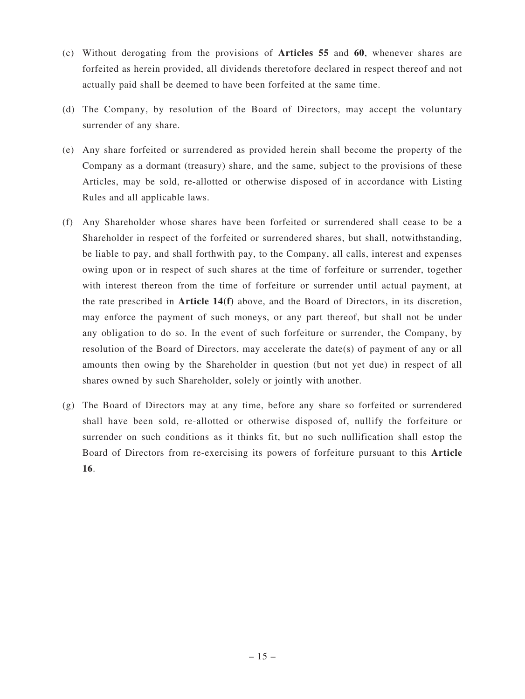- (c) Without derogating from the provisions of **Articles 55** and **60**, whenever shares are forfeited as herein provided, all dividends theretofore declared in respect thereof and not actually paid shall be deemed to have been forfeited at the same time.
- (d) The Company, by resolution of the Board of Directors, may accept the voluntary surrender of any share.
- (e) Any share forfeited or surrendered as provided herein shall become the property of the Company as a dormant (treasury) share, and the same, subject to the provisions of these Articles, may be sold, re-allotted or otherwise disposed of in accordance with Listing Rules and all applicable laws.
- (f) Any Shareholder whose shares have been forfeited or surrendered shall cease to be a Shareholder in respect of the forfeited or surrendered shares, but shall, notwithstanding, be liable to pay, and shall forthwith pay, to the Company, all calls, interest and expenses owing upon or in respect of such shares at the time of forfeiture or surrender, together with interest thereon from the time of forfeiture or surrender until actual payment, at the rate prescribed in **Article 14(f)** above, and the Board of Directors, in its discretion, may enforce the payment of such moneys, or any part thereof, but shall not be under any obligation to do so. In the event of such forfeiture or surrender, the Company, by resolution of the Board of Directors, may accelerate the date(s) of payment of any or all amounts then owing by the Shareholder in question (but not yet due) in respect of all shares owned by such Shareholder, solely or jointly with another.
- (g) The Board of Directors may at any time, before any share so forfeited or surrendered shall have been sold, re-allotted or otherwise disposed of, nullify the forfeiture or surrender on such conditions as it thinks fit, but no such nullification shall estop the Board of Directors from re-exercising its powers of forfeiture pursuant to this **Article 16**.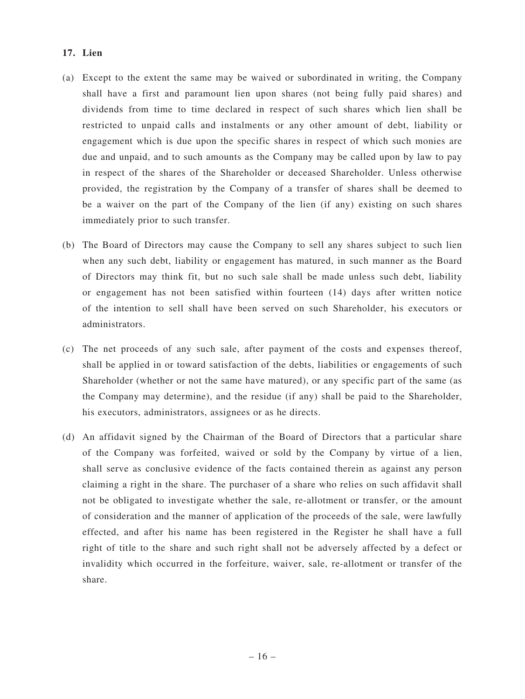### **17. Lien**

- (a) Except to the extent the same may be waived or subordinated in writing, the Company shall have a first and paramount lien upon shares (not being fully paid shares) and dividends from time to time declared in respect of such shares which lien shall be restricted to unpaid calls and instalments or any other amount of debt, liability or engagement which is due upon the specific shares in respect of which such monies are due and unpaid, and to such amounts as the Company may be called upon by law to pay in respect of the shares of the Shareholder or deceased Shareholder. Unless otherwise provided, the registration by the Company of a transfer of shares shall be deemed to be a waiver on the part of the Company of the lien (if any) existing on such shares immediately prior to such transfer.
- (b) The Board of Directors may cause the Company to sell any shares subject to such lien when any such debt, liability or engagement has matured, in such manner as the Board of Directors may think fit, but no such sale shall be made unless such debt, liability or engagement has not been satisfied within fourteen (14) days after written notice of the intention to sell shall have been served on such Shareholder, his executors or administrators.
- (c) The net proceeds of any such sale, after payment of the costs and expenses thereof, shall be applied in or toward satisfaction of the debts, liabilities or engagements of such Shareholder (whether or not the same have matured), or any specific part of the same (as the Company may determine), and the residue (if any) shall be paid to the Shareholder, his executors, administrators, assignees or as he directs.
- (d) An affidavit signed by the Chairman of the Board of Directors that a particular share of the Company was forfeited, waived or sold by the Company by virtue of a lien, shall serve as conclusive evidence of the facts contained therein as against any person claiming a right in the share. The purchaser of a share who relies on such affidavit shall not be obligated to investigate whether the sale, re-allotment or transfer, or the amount of consideration and the manner of application of the proceeds of the sale, were lawfully effected, and after his name has been registered in the Register he shall have a full right of title to the share and such right shall not be adversely affected by a defect or invalidity which occurred in the forfeiture, waiver, sale, re-allotment or transfer of the share.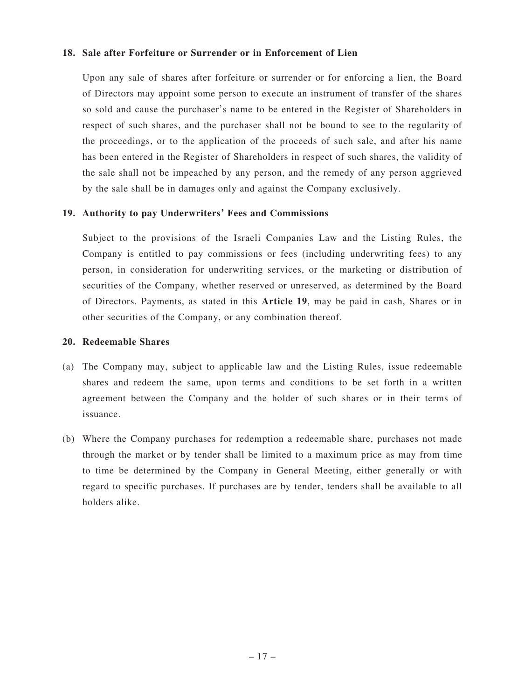### **18. Sale after Forfeiture or Surrender or in Enforcement of Lien**

Upon any sale of shares after forfeiture or surrender or for enforcing a lien, the Board of Directors may appoint some person to execute an instrument of transfer of the shares so sold and cause the purchaser's name to be entered in the Register of Shareholders in respect of such shares, and the purchaser shall not be bound to see to the regularity of the proceedings, or to the application of the proceeds of such sale, and after his name has been entered in the Register of Shareholders in respect of such shares, the validity of the sale shall not be impeached by any person, and the remedy of any person aggrieved by the sale shall be in damages only and against the Company exclusively.

### **19. Authority to pay Underwriters' Fees and Commissions**

Subject to the provisions of the Israeli Companies Law and the Listing Rules, the Company is entitled to pay commissions or fees (including underwriting fees) to any person, in consideration for underwriting services, or the marketing or distribution of securities of the Company, whether reserved or unreserved, as determined by the Board of Directors. Payments, as stated in this **Article 19**, may be paid in cash, Shares or in other securities of the Company, or any combination thereof.

#### **20. Redeemable Shares**

- (a) The Company may, subject to applicable law and the Listing Rules, issue redeemable shares and redeem the same, upon terms and conditions to be set forth in a written agreement between the Company and the holder of such shares or in their terms of issuance.
- (b) Where the Company purchases for redemption a redeemable share, purchases not made through the market or by tender shall be limited to a maximum price as may from time to time be determined by the Company in General Meeting, either generally or with regard to specific purchases. If purchases are by tender, tenders shall be available to all holders alike.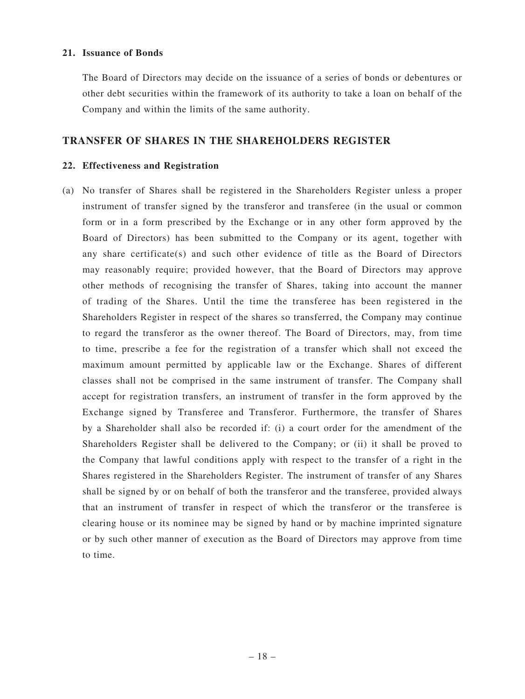#### **21. Issuance of Bonds**

The Board of Directors may decide on the issuance of a series of bonds or debentures or other debt securities within the framework of its authority to take a loan on behalf of the Company and within the limits of the same authority.

### **TRANSFER OF SHARES IN THE SHAREHOLDERS REGISTER**

#### **22. Effectiveness and Registration**

(a) No transfer of Shares shall be registered in the Shareholders Register unless a proper instrument of transfer signed by the transferor and transferee (in the usual or common form or in a form prescribed by the Exchange or in any other form approved by the Board of Directors) has been submitted to the Company or its agent, together with any share certificate(s) and such other evidence of title as the Board of Directors may reasonably require; provided however, that the Board of Directors may approve other methods of recognising the transfer of Shares, taking into account the manner of trading of the Shares. Until the time the transferee has been registered in the Shareholders Register in respect of the shares so transferred, the Company may continue to regard the transferor as the owner thereof. The Board of Directors, may, from time to time, prescribe a fee for the registration of a transfer which shall not exceed the maximum amount permitted by applicable law or the Exchange. Shares of different classes shall not be comprised in the same instrument of transfer. The Company shall accept for registration transfers, an instrument of transfer in the form approved by the Exchange signed by Transferee and Transferor. Furthermore, the transfer of Shares by a Shareholder shall also be recorded if: (i) a court order for the amendment of the Shareholders Register shall be delivered to the Company; or (ii) it shall be proved to the Company that lawful conditions apply with respect to the transfer of a right in the Shares registered in the Shareholders Register. The instrument of transfer of any Shares shall be signed by or on behalf of both the transferor and the transferee, provided always that an instrument of transfer in respect of which the transferor or the transferee is clearing house or its nominee may be signed by hand or by machine imprinted signature or by such other manner of execution as the Board of Directors may approve from time to time.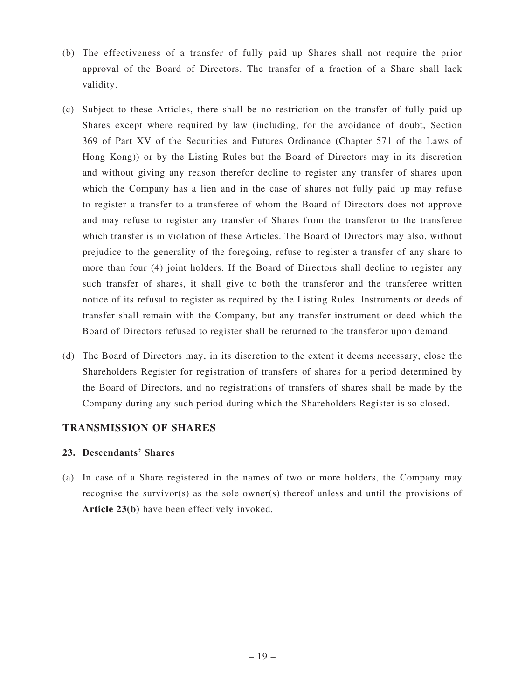- (b) The effectiveness of a transfer of fully paid up Shares shall not require the prior approval of the Board of Directors. The transfer of a fraction of a Share shall lack validity.
- (c) Subject to these Articles, there shall be no restriction on the transfer of fully paid up Shares except where required by law (including, for the avoidance of doubt, Section 369 of Part XV of the Securities and Futures Ordinance (Chapter 571 of the Laws of Hong Kong)) or by the Listing Rules but the Board of Directors may in its discretion and without giving any reason therefor decline to register any transfer of shares upon which the Company has a lien and in the case of shares not fully paid up may refuse to register a transfer to a transferee of whom the Board of Directors does not approve and may refuse to register any transfer of Shares from the transferor to the transferee which transfer is in violation of these Articles. The Board of Directors may also, without prejudice to the generality of the foregoing, refuse to register a transfer of any share to more than four (4) joint holders. If the Board of Directors shall decline to register any such transfer of shares, it shall give to both the transferor and the transferee written notice of its refusal to register as required by the Listing Rules. Instruments or deeds of transfer shall remain with the Company, but any transfer instrument or deed which the Board of Directors refused to register shall be returned to the transferor upon demand.
- (d) The Board of Directors may, in its discretion to the extent it deems necessary, close the Shareholders Register for registration of transfers of shares for a period determined by the Board of Directors, and no registrations of transfers of shares shall be made by the Company during any such period during which the Shareholders Register is so closed.

### **TRANSMISSION OF SHARES**

### **23. Descendants' Shares**

(a) In case of a Share registered in the names of two or more holders, the Company may recognise the survivor(s) as the sole owner(s) thereof unless and until the provisions of **Article 23(b)** have been effectively invoked.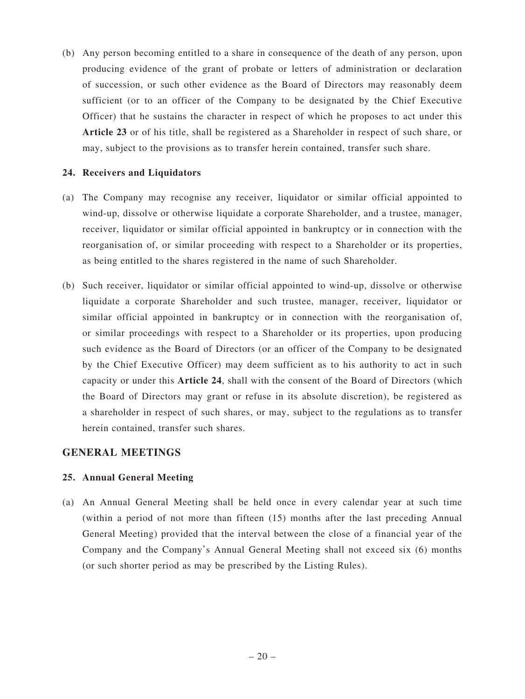(b) Any person becoming entitled to a share in consequence of the death of any person, upon producing evidence of the grant of probate or letters of administration or declaration of succession, or such other evidence as the Board of Directors may reasonably deem sufficient (or to an officer of the Company to be designated by the Chief Executive Officer) that he sustains the character in respect of which he proposes to act under this **Article 23** or of his title, shall be registered as a Shareholder in respect of such share, or may, subject to the provisions as to transfer herein contained, transfer such share.

### **24. Receivers and Liquidators**

- (a) The Company may recognise any receiver, liquidator or similar official appointed to wind-up, dissolve or otherwise liquidate a corporate Shareholder, and a trustee, manager, receiver, liquidator or similar official appointed in bankruptcy or in connection with the reorganisation of, or similar proceeding with respect to a Shareholder or its properties, as being entitled to the shares registered in the name of such Shareholder.
- (b) Such receiver, liquidator or similar official appointed to wind-up, dissolve or otherwise liquidate a corporate Shareholder and such trustee, manager, receiver, liquidator or similar official appointed in bankruptcy or in connection with the reorganisation of, or similar proceedings with respect to a Shareholder or its properties, upon producing such evidence as the Board of Directors (or an officer of the Company to be designated by the Chief Executive Officer) may deem sufficient as to his authority to act in such capacity or under this **Article 24**, shall with the consent of the Board of Directors (which the Board of Directors may grant or refuse in its absolute discretion), be registered as a shareholder in respect of such shares, or may, subject to the regulations as to transfer herein contained, transfer such shares.

### **GENERAL MEETINGS**

### **25. Annual General Meeting**

(a) An Annual General Meeting shall be held once in every calendar year at such time (within a period of not more than fifteen (15) months after the last preceding Annual General Meeting) provided that the interval between the close of a financial year of the Company and the Company's Annual General Meeting shall not exceed six (6) months (or such shorter period as may be prescribed by the Listing Rules).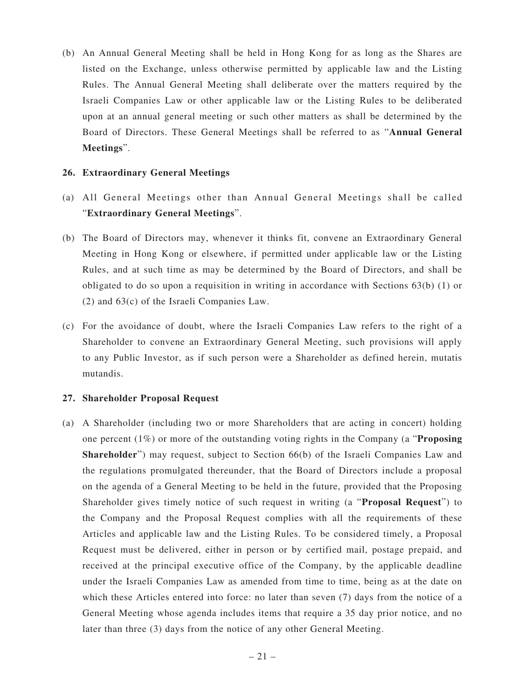(b) An Annual General Meeting shall be held in Hong Kong for as long as the Shares are listed on the Exchange, unless otherwise permitted by applicable law and the Listing Rules. The Annual General Meeting shall deliberate over the matters required by the Israeli Companies Law or other applicable law or the Listing Rules to be deliberated upon at an annual general meeting or such other matters as shall be determined by the Board of Directors. These General Meetings shall be referred to as "**Annual General Meetings**".

#### **26. Extraordinary General Meetings**

- (a) All General Meetings other than Annual General Meetings shall be called "**Extraordinary General Meetings**".
- (b) The Board of Directors may, whenever it thinks fit, convene an Extraordinary General Meeting in Hong Kong or elsewhere, if permitted under applicable law or the Listing Rules, and at such time as may be determined by the Board of Directors, and shall be obligated to do so upon a requisition in writing in accordance with Sections 63(b) (1) or (2) and 63(c) of the Israeli Companies Law.
- (c) For the avoidance of doubt, where the Israeli Companies Law refers to the right of a Shareholder to convene an Extraordinary General Meeting, such provisions will apply to any Public Investor, as if such person were a Shareholder as defined herein, mutatis mutandis.

#### **27. Shareholder Proposal Request**

(a) A Shareholder (including two or more Shareholders that are acting in concert) holding one percent (1%) or more of the outstanding voting rights in the Company (a "**Proposing Shareholder**") may request, subject to Section 66(b) of the Israeli Companies Law and the regulations promulgated thereunder, that the Board of Directors include a proposal on the agenda of a General Meeting to be held in the future, provided that the Proposing Shareholder gives timely notice of such request in writing (a "**Proposal Request**") to the Company and the Proposal Request complies with all the requirements of these Articles and applicable law and the Listing Rules. To be considered timely, a Proposal Request must be delivered, either in person or by certified mail, postage prepaid, and received at the principal executive office of the Company, by the applicable deadline under the Israeli Companies Law as amended from time to time, being as at the date on which these Articles entered into force: no later than seven (7) days from the notice of a General Meeting whose agenda includes items that require a 35 day prior notice, and no later than three (3) days from the notice of any other General Meeting.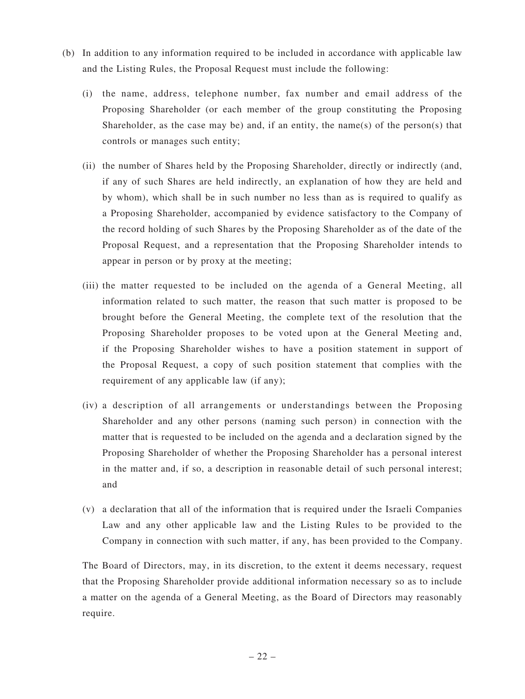- (b) In addition to any information required to be included in accordance with applicable law and the Listing Rules, the Proposal Request must include the following:
	- (i) the name, address, telephone number, fax number and email address of the Proposing Shareholder (or each member of the group constituting the Proposing Shareholder, as the case may be) and, if an entity, the name(s) of the person(s) that controls or manages such entity;
	- (ii) the number of Shares held by the Proposing Shareholder, directly or indirectly (and, if any of such Shares are held indirectly, an explanation of how they are held and by whom), which shall be in such number no less than as is required to qualify as a Proposing Shareholder, accompanied by evidence satisfactory to the Company of the record holding of such Shares by the Proposing Shareholder as of the date of the Proposal Request, and a representation that the Proposing Shareholder intends to appear in person or by proxy at the meeting;
	- (iii) the matter requested to be included on the agenda of a General Meeting, all information related to such matter, the reason that such matter is proposed to be brought before the General Meeting, the complete text of the resolution that the Proposing Shareholder proposes to be voted upon at the General Meeting and, if the Proposing Shareholder wishes to have a position statement in support of the Proposal Request, a copy of such position statement that complies with the requirement of any applicable law (if any);
	- (iv) a description of all arrangements or understandings between the Proposing Shareholder and any other persons (naming such person) in connection with the matter that is requested to be included on the agenda and a declaration signed by the Proposing Shareholder of whether the Proposing Shareholder has a personal interest in the matter and, if so, a description in reasonable detail of such personal interest; and
	- (v) a declaration that all of the information that is required under the Israeli Companies Law and any other applicable law and the Listing Rules to be provided to the Company in connection with such matter, if any, has been provided to the Company.

The Board of Directors, may, in its discretion, to the extent it deems necessary, request that the Proposing Shareholder provide additional information necessary so as to include a matter on the agenda of a General Meeting, as the Board of Directors may reasonably require.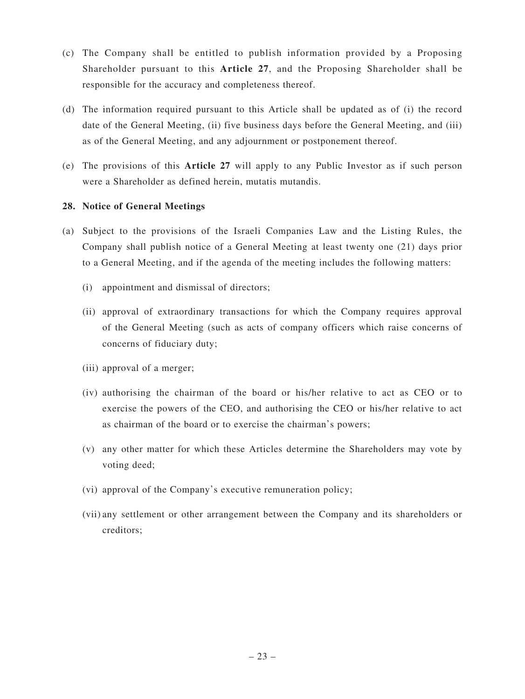- (c) The Company shall be entitled to publish information provided by a Proposing Shareholder pursuant to this **Article 27**, and the Proposing Shareholder shall be responsible for the accuracy and completeness thereof.
- (d) The information required pursuant to this Article shall be updated as of (i) the record date of the General Meeting, (ii) five business days before the General Meeting, and (iii) as of the General Meeting, and any adjournment or postponement thereof.
- (e) The provisions of this **Article 27** will apply to any Public Investor as if such person were a Shareholder as defined herein, mutatis mutandis.

### **28. Notice of General Meetings**

- (a) Subject to the provisions of the Israeli Companies Law and the Listing Rules, the Company shall publish notice of a General Meeting at least twenty one (21) days prior to a General Meeting, and if the agenda of the meeting includes the following matters:
	- (i) appointment and dismissal of directors;
	- (ii) approval of extraordinary transactions for which the Company requires approval of the General Meeting (such as acts of company officers which raise concerns of concerns of fiduciary duty;
	- (iii) approval of a merger;
	- (iv) authorising the chairman of the board or his/her relative to act as CEO or to exercise the powers of the CEO, and authorising the CEO or his/her relative to act as chairman of the board or to exercise the chairman's powers;
	- (v) any other matter for which these Articles determine the Shareholders may vote by voting deed;
	- (vi) approval of the Company's executive remuneration policy;
	- (vii) any settlement or other arrangement between the Company and its shareholders or creditors;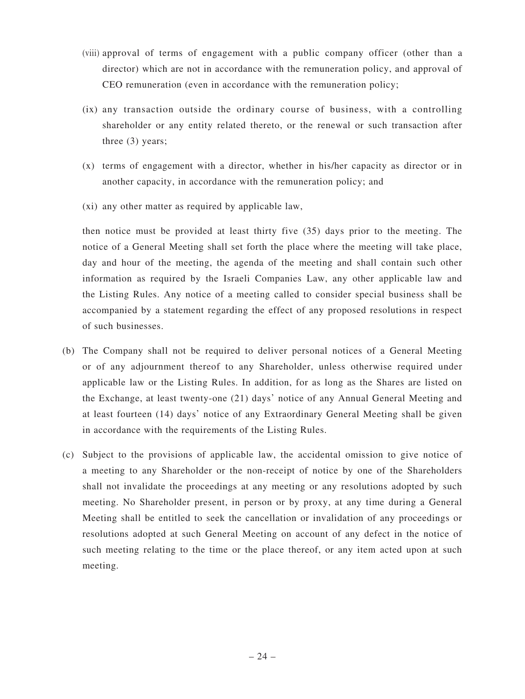- (viii) approval of terms of engagement with a public company officer (other than a director) which are not in accordance with the remuneration policy, and approval of CEO remuneration (even in accordance with the remuneration policy;
- (ix) any transaction outside the ordinary course of business, with a controlling shareholder or any entity related thereto, or the renewal or such transaction after three (3) years;
- (x) terms of engagement with a director, whether in his/her capacity as director or in another capacity, in accordance with the remuneration policy; and
- (xi) any other matter as required by applicable law,

then notice must be provided at least thirty five (35) days prior to the meeting. The notice of a General Meeting shall set forth the place where the meeting will take place, day and hour of the meeting, the agenda of the meeting and shall contain such other information as required by the Israeli Companies Law, any other applicable law and the Listing Rules. Any notice of a meeting called to consider special business shall be accompanied by a statement regarding the effect of any proposed resolutions in respect of such businesses.

- (b) The Company shall not be required to deliver personal notices of a General Meeting or of any adjournment thereof to any Shareholder, unless otherwise required under applicable law or the Listing Rules. In addition, for as long as the Shares are listed on the Exchange, at least twenty-one (21) days' notice of any Annual General Meeting and at least fourteen (14) days' notice of any Extraordinary General Meeting shall be given in accordance with the requirements of the Listing Rules.
- (c) Subject to the provisions of applicable law, the accidental omission to give notice of a meeting to any Shareholder or the non-receipt of notice by one of the Shareholders shall not invalidate the proceedings at any meeting or any resolutions adopted by such meeting. No Shareholder present, in person or by proxy, at any time during a General Meeting shall be entitled to seek the cancellation or invalidation of any proceedings or resolutions adopted at such General Meeting on account of any defect in the notice of such meeting relating to the time or the place thereof, or any item acted upon at such meeting.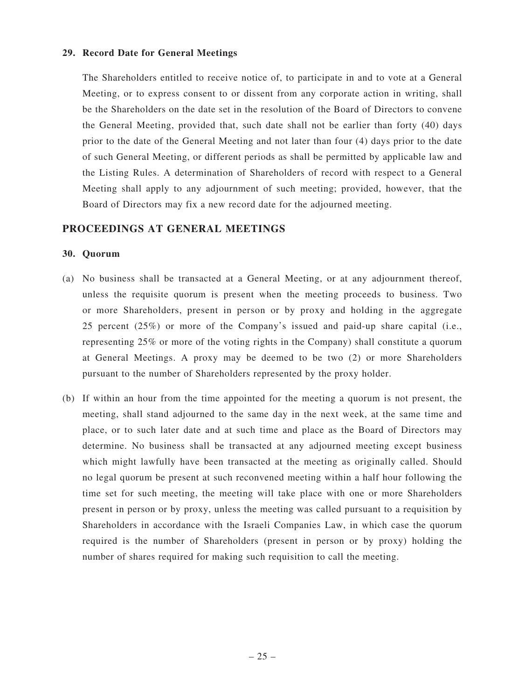### **29. Record Date for General Meetings**

The Shareholders entitled to receive notice of, to participate in and to vote at a General Meeting, or to express consent to or dissent from any corporate action in writing, shall be the Shareholders on the date set in the resolution of the Board of Directors to convene the General Meeting, provided that, such date shall not be earlier than forty (40) days prior to the date of the General Meeting and not later than four (4) days prior to the date of such General Meeting, or different periods as shall be permitted by applicable law and the Listing Rules. A determination of Shareholders of record with respect to a General Meeting shall apply to any adjournment of such meeting; provided, however, that the Board of Directors may fix a new record date for the adjourned meeting.

# **PROCEEDINGS AT GENERAL MEETINGS**

### **30. Quorum**

- (a) No business shall be transacted at a General Meeting, or at any adjournment thereof, unless the requisite quorum is present when the meeting proceeds to business. Two or more Shareholders, present in person or by proxy and holding in the aggregate 25 percent (25%) or more of the Company's issued and paid-up share capital (i.e., representing 25% or more of the voting rights in the Company) shall constitute a quorum at General Meetings. A proxy may be deemed to be two (2) or more Shareholders pursuant to the number of Shareholders represented by the proxy holder.
- (b) If within an hour from the time appointed for the meeting a quorum is not present, the meeting, shall stand adjourned to the same day in the next week, at the same time and place, or to such later date and at such time and place as the Board of Directors may determine. No business shall be transacted at any adjourned meeting except business which might lawfully have been transacted at the meeting as originally called. Should no legal quorum be present at such reconvened meeting within a half hour following the time set for such meeting, the meeting will take place with one or more Shareholders present in person or by proxy, unless the meeting was called pursuant to a requisition by Shareholders in accordance with the Israeli Companies Law, in which case the quorum required is the number of Shareholders (present in person or by proxy) holding the number of shares required for making such requisition to call the meeting.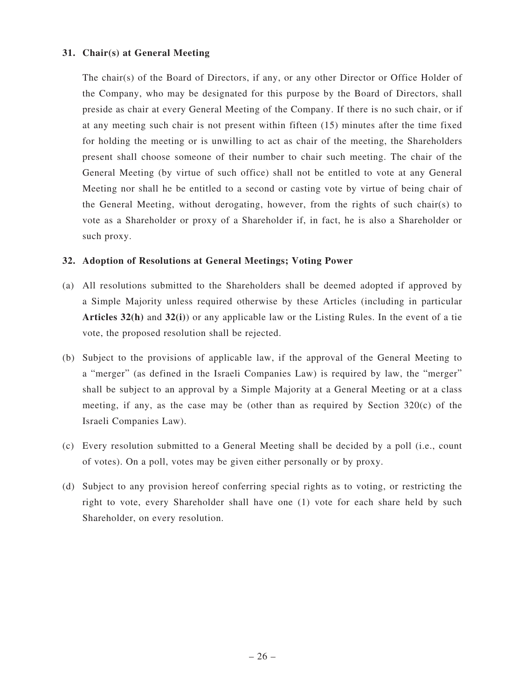### **31. Chair(s) at General Meeting**

The chair(s) of the Board of Directors, if any, or any other Director or Office Holder of the Company, who may be designated for this purpose by the Board of Directors, shall preside as chair at every General Meeting of the Company. If there is no such chair, or if at any meeting such chair is not present within fifteen (15) minutes after the time fixed for holding the meeting or is unwilling to act as chair of the meeting, the Shareholders present shall choose someone of their number to chair such meeting. The chair of the General Meeting (by virtue of such office) shall not be entitled to vote at any General Meeting nor shall he be entitled to a second or casting vote by virtue of being chair of the General Meeting, without derogating, however, from the rights of such chair(s) to vote as a Shareholder or proxy of a Shareholder if, in fact, he is also a Shareholder or such proxy.

### **32. Adoption of Resolutions at General Meetings; Voting Power**

- (a) All resolutions submitted to the Shareholders shall be deemed adopted if approved by a Simple Majority unless required otherwise by these Articles (including in particular **Articles 32(h)** and **32(i)**) or any applicable law or the Listing Rules. In the event of a tie vote, the proposed resolution shall be rejected.
- (b) Subject to the provisions of applicable law, if the approval of the General Meeting to a "merger" (as defined in the Israeli Companies Law) is required by law, the "merger" shall be subject to an approval by a Simple Majority at a General Meeting or at a class meeting, if any, as the case may be (other than as required by Section  $320(c)$  of the Israeli Companies Law).
- (c) Every resolution submitted to a General Meeting shall be decided by a poll (i.e., count of votes). On a poll, votes may be given either personally or by proxy.
- (d) Subject to any provision hereof conferring special rights as to voting, or restricting the right to vote, every Shareholder shall have one (1) vote for each share held by such Shareholder, on every resolution.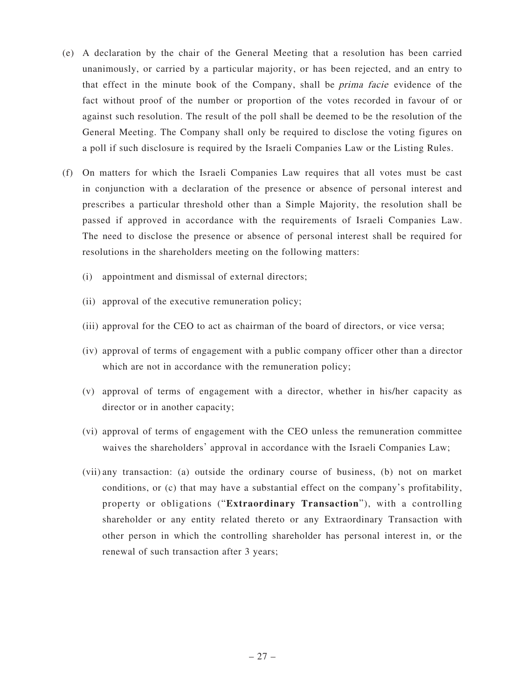- (e) A declaration by the chair of the General Meeting that a resolution has been carried unanimously, or carried by a particular majority, or has been rejected, and an entry to that effect in the minute book of the Company, shall be prima facie evidence of the fact without proof of the number or proportion of the votes recorded in favour of or against such resolution. The result of the poll shall be deemed to be the resolution of the General Meeting. The Company shall only be required to disclose the voting figures on a poll if such disclosure is required by the Israeli Companies Law or the Listing Rules.
- (f) On matters for which the Israeli Companies Law requires that all votes must be cast in conjunction with a declaration of the presence or absence of personal interest and prescribes a particular threshold other than a Simple Majority, the resolution shall be passed if approved in accordance with the requirements of Israeli Companies Law. The need to disclose the presence or absence of personal interest shall be required for resolutions in the shareholders meeting on the following matters:
	- (i) appointment and dismissal of external directors;
	- (ii) approval of the executive remuneration policy;
	- (iii) approval for the CEO to act as chairman of the board of directors, or vice versa;
	- (iv) approval of terms of engagement with a public company officer other than a director which are not in accordance with the remuneration policy;
	- (v) approval of terms of engagement with a director, whether in his/her capacity as director or in another capacity;
	- (vi) approval of terms of engagement with the CEO unless the remuneration committee waives the shareholders' approval in accordance with the Israeli Companies Law;
	- (vii) any transaction: (a) outside the ordinary course of business, (b) not on market conditions, or (c) that may have a substantial effect on the company's profitability, property or obligations ("**Extraordinary Transaction**"), with a controlling shareholder or any entity related thereto or any Extraordinary Transaction with other person in which the controlling shareholder has personal interest in, or the renewal of such transaction after 3 years;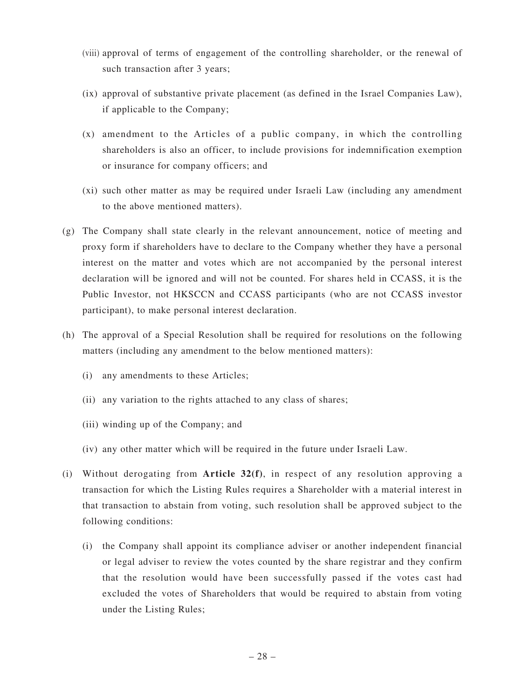- (viii) approval of terms of engagement of the controlling shareholder, or the renewal of such transaction after 3 years;
- (ix) approval of substantive private placement (as defined in the Israel Companies Law), if applicable to the Company;
- (x) amendment to the Articles of a public company, in which the controlling shareholders is also an officer, to include provisions for indemnification exemption or insurance for company officers; and
- (xi) such other matter as may be required under Israeli Law (including any amendment to the above mentioned matters).
- (g) The Company shall state clearly in the relevant announcement, notice of meeting and proxy form if shareholders have to declare to the Company whether they have a personal interest on the matter and votes which are not accompanied by the personal interest declaration will be ignored and will not be counted. For shares held in CCASS, it is the Public Investor, not HKSCCN and CCASS participants (who are not CCASS investor participant), to make personal interest declaration.
- (h) The approval of a Special Resolution shall be required for resolutions on the following matters (including any amendment to the below mentioned matters):
	- (i) any amendments to these Articles;
	- (ii) any variation to the rights attached to any class of shares;
	- (iii) winding up of the Company; and
	- (iv) any other matter which will be required in the future under Israeli Law.
- (i) Without derogating from **Article 32(f)**, in respect of any resolution approving a transaction for which the Listing Rules requires a Shareholder with a material interest in that transaction to abstain from voting, such resolution shall be approved subject to the following conditions:
	- (i) the Company shall appoint its compliance adviser or another independent financial or legal adviser to review the votes counted by the share registrar and they confirm that the resolution would have been successfully passed if the votes cast had excluded the votes of Shareholders that would be required to abstain from voting under the Listing Rules;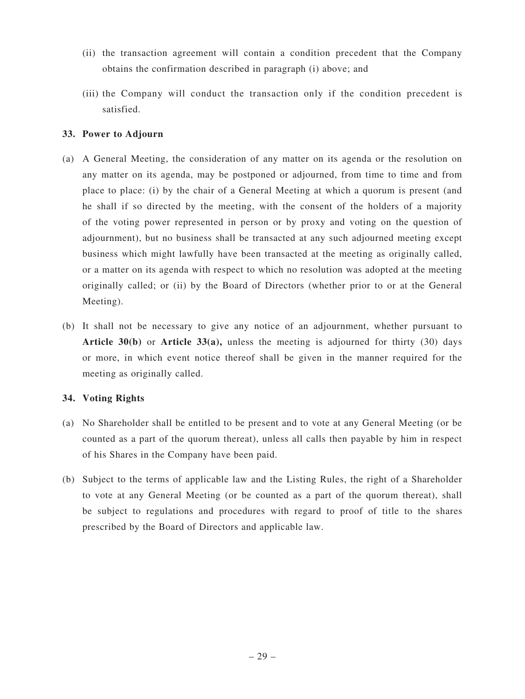- (ii) the transaction agreement will contain a condition precedent that the Company obtains the confirmation described in paragraph (i) above; and
- (iii) the Company will conduct the transaction only if the condition precedent is satisfied.

## **33. Power to Adjourn**

- (a) A General Meeting, the consideration of any matter on its agenda or the resolution on any matter on its agenda, may be postponed or adjourned, from time to time and from place to place: (i) by the chair of a General Meeting at which a quorum is present (and he shall if so directed by the meeting, with the consent of the holders of a majority of the voting power represented in person or by proxy and voting on the question of adjournment), but no business shall be transacted at any such adjourned meeting except business which might lawfully have been transacted at the meeting as originally called, or a matter on its agenda with respect to which no resolution was adopted at the meeting originally called; or (ii) by the Board of Directors (whether prior to or at the General Meeting).
- (b) It shall not be necessary to give any notice of an adjournment, whether pursuant to **Article 30(b)** or **Article 33(a),** unless the meeting is adjourned for thirty (30) days or more, in which event notice thereof shall be given in the manner required for the meeting as originally called.

### **34. Voting Rights**

- (a) No Shareholder shall be entitled to be present and to vote at any General Meeting (or be counted as a part of the quorum thereat), unless all calls then payable by him in respect of his Shares in the Company have been paid.
- (b) Subject to the terms of applicable law and the Listing Rules, the right of a Shareholder to vote at any General Meeting (or be counted as a part of the quorum thereat), shall be subject to regulations and procedures with regard to proof of title to the shares prescribed by the Board of Directors and applicable law.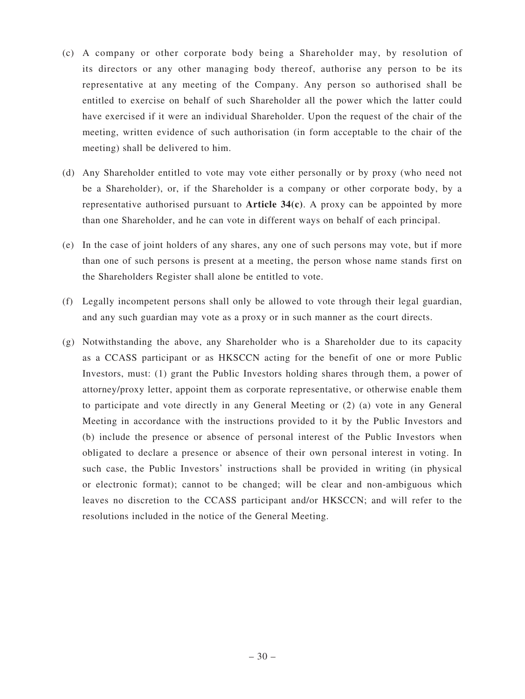- (c) A company or other corporate body being a Shareholder may, by resolution of its directors or any other managing body thereof, authorise any person to be its representative at any meeting of the Company. Any person so authorised shall be entitled to exercise on behalf of such Shareholder all the power which the latter could have exercised if it were an individual Shareholder. Upon the request of the chair of the meeting, written evidence of such authorisation (in form acceptable to the chair of the meeting) shall be delivered to him.
- (d) Any Shareholder entitled to vote may vote either personally or by proxy (who need not be a Shareholder), or, if the Shareholder is a company or other corporate body, by a representative authorised pursuant to **Article 34(c)**. A proxy can be appointed by more than one Shareholder, and he can vote in different ways on behalf of each principal.
- (e) In the case of joint holders of any shares, any one of such persons may vote, but if more than one of such persons is present at a meeting, the person whose name stands first on the Shareholders Register shall alone be entitled to vote.
- (f) Legally incompetent persons shall only be allowed to vote through their legal guardian, and any such guardian may vote as a proxy or in such manner as the court directs.
- (g) Notwithstanding the above, any Shareholder who is a Shareholder due to its capacity as a CCASS participant or as HKSCCN acting for the benefit of one or more Public Investors, must: (1) grant the Public Investors holding shares through them, a power of attorney/proxy letter, appoint them as corporate representative, or otherwise enable them to participate and vote directly in any General Meeting or (2) (a) vote in any General Meeting in accordance with the instructions provided to it by the Public Investors and (b) include the presence or absence of personal interest of the Public Investors when obligated to declare a presence or absence of their own personal interest in voting. In such case, the Public Investors' instructions shall be provided in writing (in physical or electronic format); cannot to be changed; will be clear and non-ambiguous which leaves no discretion to the CCASS participant and/or HKSCCN; and will refer to the resolutions included in the notice of the General Meeting.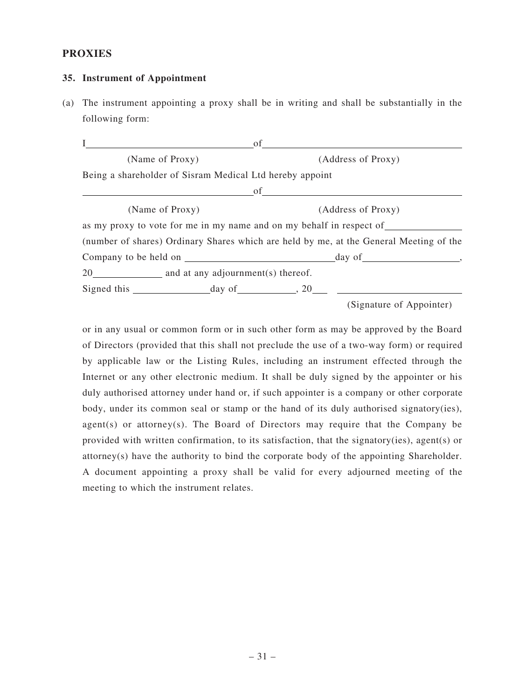### **PROXIES**

#### **35. Instrument of Appointment**

(a) The instrument appointing a proxy shall be in writing and shall be substantially in the following form:

| L                                                        | of                                                                   |                                                                                                                                                                                                                                                                                                           |                                                                                        |  |
|----------------------------------------------------------|----------------------------------------------------------------------|-----------------------------------------------------------------------------------------------------------------------------------------------------------------------------------------------------------------------------------------------------------------------------------------------------------|----------------------------------------------------------------------------------------|--|
| (Name of Proxy)                                          |                                                                      | (Address of Proxy)                                                                                                                                                                                                                                                                                        |                                                                                        |  |
| Being a shareholder of Sisram Medical Ltd hereby appoint |                                                                      |                                                                                                                                                                                                                                                                                                           |                                                                                        |  |
|                                                          | <u> 1989 - Johann Barbara, martin da basar a</u>                     | $\circ$ f and $\circ$ and $\circ$ and $\circ$ and $\circ$ and $\circ$ and $\circ$ and $\circ$ and $\circ$ and $\circ$ and $\circ$ and $\circ$ and $\circ$ and $\circ$ and $\circ$ and $\circ$ and $\circ$ and $\circ$ and $\circ$ and $\circ$ and $\circ$ and $\circ$ and $\circ$ and $\circ$ and $\circ$ |                                                                                        |  |
| (Name of Proxy)                                          |                                                                      |                                                                                                                                                                                                                                                                                                           | (Address of Proxy)                                                                     |  |
|                                                          | as my proxy to vote for me in my name and on my behalf in respect of |                                                                                                                                                                                                                                                                                                           |                                                                                        |  |
|                                                          |                                                                      |                                                                                                                                                                                                                                                                                                           | (number of shares) Ordinary Shares which are held by me, at the General Meeting of the |  |
|                                                          |                                                                      |                                                                                                                                                                                                                                                                                                           |                                                                                        |  |
|                                                          | 20 and at any adjournment(s) thereof.                                |                                                                                                                                                                                                                                                                                                           |                                                                                        |  |
|                                                          | Signed this $\frac{day \text{ of } (x, 20)}{x}$                      |                                                                                                                                                                                                                                                                                                           |                                                                                        |  |
|                                                          |                                                                      |                                                                                                                                                                                                                                                                                                           | (Signature of Appointer)                                                               |  |

or in any usual or common form or in such other form as may be approved by the Board of Directors (provided that this shall not preclude the use of a two-way form) or required by applicable law or the Listing Rules, including an instrument effected through the Internet or any other electronic medium. It shall be duly signed by the appointer or his duly authorised attorney under hand or, if such appointer is a company or other corporate body, under its common seal or stamp or the hand of its duly authorised signatory(ies),  $agent(s)$  or attorney(s). The Board of Directors may require that the Company be provided with written confirmation, to its satisfaction, that the signatory(ies), agent(s) or attorney(s) have the authority to bind the corporate body of the appointing Shareholder. A document appointing a proxy shall be valid for every adjourned meeting of the meeting to which the instrument relates.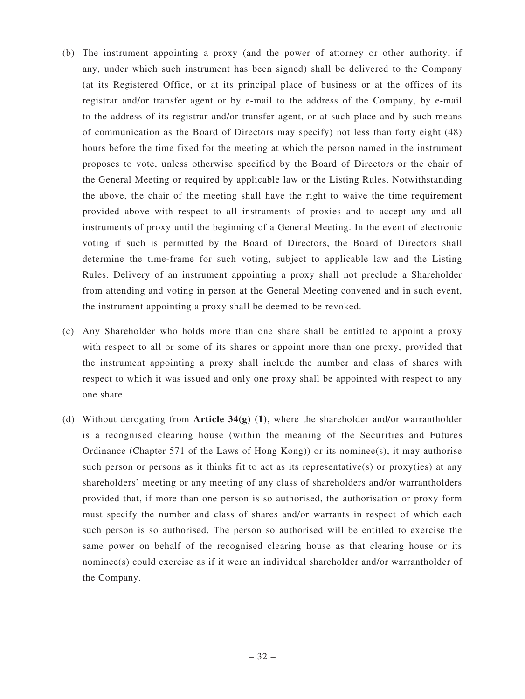- (b) The instrument appointing a proxy (and the power of attorney or other authority, if any, under which such instrument has been signed) shall be delivered to the Company (at its Registered Office, or at its principal place of business or at the offices of its registrar and/or transfer agent or by e-mail to the address of the Company, by e-mail to the address of its registrar and/or transfer agent, or at such place and by such means of communication as the Board of Directors may specify) not less than forty eight (48) hours before the time fixed for the meeting at which the person named in the instrument proposes to vote, unless otherwise specified by the Board of Directors or the chair of the General Meeting or required by applicable law or the Listing Rules. Notwithstanding the above, the chair of the meeting shall have the right to waive the time requirement provided above with respect to all instruments of proxies and to accept any and all instruments of proxy until the beginning of a General Meeting. In the event of electronic voting if such is permitted by the Board of Directors, the Board of Directors shall determine the time-frame for such voting, subject to applicable law and the Listing Rules. Delivery of an instrument appointing a proxy shall not preclude a Shareholder from attending and voting in person at the General Meeting convened and in such event, the instrument appointing a proxy shall be deemed to be revoked.
- (c) Any Shareholder who holds more than one share shall be entitled to appoint a proxy with respect to all or some of its shares or appoint more than one proxy, provided that the instrument appointing a proxy shall include the number and class of shares with respect to which it was issued and only one proxy shall be appointed with respect to any one share.
- (d) Without derogating from **Article 34(g) (1)**, where the shareholder and/or warrantholder is a recognised clearing house (within the meaning of the Securities and Futures Ordinance (Chapter 571 of the Laws of Hong Kong)) or its nominee(s), it may authorise such person or persons as it thinks fit to act as its representative(s) or  $prox(y$  ies) at any shareholders' meeting or any meeting of any class of shareholders and/or warrantholders provided that, if more than one person is so authorised, the authorisation or proxy form must specify the number and class of shares and/or warrants in respect of which each such person is so authorised. The person so authorised will be entitled to exercise the same power on behalf of the recognised clearing house as that clearing house or its nominee(s) could exercise as if it were an individual shareholder and/or warrantholder of the Company.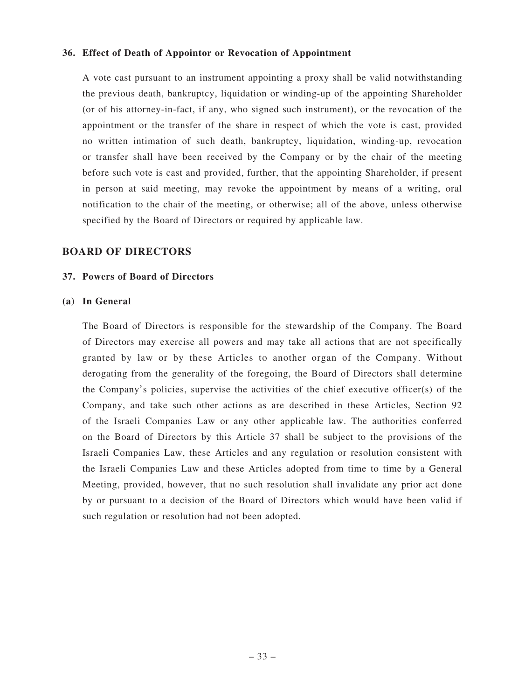### **36. Effect of Death of Appointor or Revocation of Appointment**

A vote cast pursuant to an instrument appointing a proxy shall be valid notwithstanding the previous death, bankruptcy, liquidation or winding-up of the appointing Shareholder (or of his attorney-in-fact, if any, who signed such instrument), or the revocation of the appointment or the transfer of the share in respect of which the vote is cast, provided no written intimation of such death, bankruptcy, liquidation, winding-up, revocation or transfer shall have been received by the Company or by the chair of the meeting before such vote is cast and provided, further, that the appointing Shareholder, if present in person at said meeting, may revoke the appointment by means of a writing, oral notification to the chair of the meeting, or otherwise; all of the above, unless otherwise specified by the Board of Directors or required by applicable law.

### **BOARD OF DIRECTORS**

#### **37. Powers of Board of Directors**

#### **(a) In General**

The Board of Directors is responsible for the stewardship of the Company. The Board of Directors may exercise all powers and may take all actions that are not specifically granted by law or by these Articles to another organ of the Company. Without derogating from the generality of the foregoing, the Board of Directors shall determine the Company's policies, supervise the activities of the chief executive officer(s) of the Company, and take such other actions as are described in these Articles, Section 92 of the Israeli Companies Law or any other applicable law. The authorities conferred on the Board of Directors by this Article 37 shall be subject to the provisions of the Israeli Companies Law, these Articles and any regulation or resolution consistent with the Israeli Companies Law and these Articles adopted from time to time by a General Meeting, provided, however, that no such resolution shall invalidate any prior act done by or pursuant to a decision of the Board of Directors which would have been valid if such regulation or resolution had not been adopted.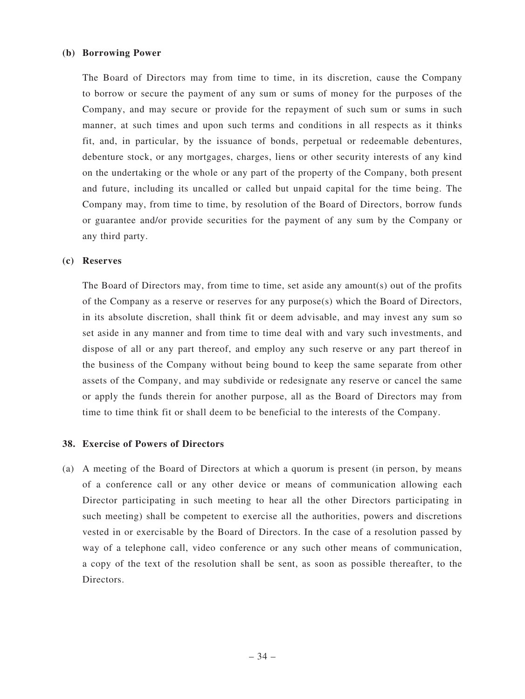#### **(b) Borrowing Power**

The Board of Directors may from time to time, in its discretion, cause the Company to borrow or secure the payment of any sum or sums of money for the purposes of the Company, and may secure or provide for the repayment of such sum or sums in such manner, at such times and upon such terms and conditions in all respects as it thinks fit, and, in particular, by the issuance of bonds, perpetual or redeemable debentures, debenture stock, or any mortgages, charges, liens or other security interests of any kind on the undertaking or the whole or any part of the property of the Company, both present and future, including its uncalled or called but unpaid capital for the time being. The Company may, from time to time, by resolution of the Board of Directors, borrow funds or guarantee and/or provide securities for the payment of any sum by the Company or any third party.

#### **(c) Reserves**

The Board of Directors may, from time to time, set aside any amount(s) out of the profits of the Company as a reserve or reserves for any purpose(s) which the Board of Directors, in its absolute discretion, shall think fit or deem advisable, and may invest any sum so set aside in any manner and from time to time deal with and vary such investments, and dispose of all or any part thereof, and employ any such reserve or any part thereof in the business of the Company without being bound to keep the same separate from other assets of the Company, and may subdivide or redesignate any reserve or cancel the same or apply the funds therein for another purpose, all as the Board of Directors may from time to time think fit or shall deem to be beneficial to the interests of the Company.

#### **38. Exercise of Powers of Directors**

(a) A meeting of the Board of Directors at which a quorum is present (in person, by means of a conference call or any other device or means of communication allowing each Director participating in such meeting to hear all the other Directors participating in such meeting) shall be competent to exercise all the authorities, powers and discretions vested in or exercisable by the Board of Directors. In the case of a resolution passed by way of a telephone call, video conference or any such other means of communication, a copy of the text of the resolution shall be sent, as soon as possible thereafter, to the Directors.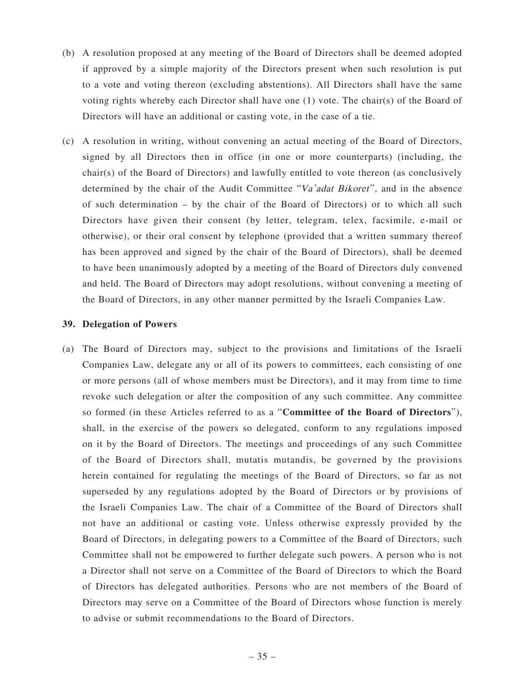- (b) A resolution proposed at any meeting of the Board of Directors shall be deemed adopted if approved by a simple majority of the Directors present when such resolution is put to a vote and voting thereon (excluding abstentions). All Directors shall have the same voting rights whereby each Director shall have one (1) vote. The chair(s) of the Board of Directors will have an additional or casting vote, in the case of a tie.
- (c) A resolution in writing, without convening an actual meeting of the Board of Directors, signed by all Directors then in office (in one or more counterparts) (including, the chair(s) of the Board of Directors) and lawfully entitled to vote thereon (as conclusively determined by the chair of the Audit Committee "Va'adat Bikoret", and in the absence of such determination – by the chair of the Board of Directors) or to which all such Directors have given their consent (by letter, telegram, telex, facsimile, e-mail or otherwise), or their oral consent by telephone (provided that a written summary thereof has been approved and signed by the chair of the Board of Directors), shall be deemed to have been unanimously adopted by a meeting of the Board of Directors duly convened and held. The Board of Directors may adopt resolutions, without convening a meeting of the Board of Directors, in any other manner permitted by the Israeli Companies Law.

#### **39. Delegation of Powers**

(a) The Board of Directors may, subject to the provisions and limitations of the Israeli Companies Law, delegate any or all of its powers to committees, each consisting of one or more persons (all of whose members must be Directors), and it may from time to time revoke such delegation or alter the composition of any such committee. Any committee so formed (in these Articles referred to as a "**Committee of the Board of Directors**"), shall, in the exercise of the powers so delegated, conform to any regulations imposed on it by the Board of Directors. The meetings and proceedings of any such Committee of the Board of Directors shall, mutatis mutandis, be governed by the provisions herein contained for regulating the meetings of the Board of Directors, so far as not superseded by any regulations adopted by the Board of Directors or by provisions of the Israeli Companies Law. The chair of a Committee of the Board of Directors shall not have an additional or casting vote. Unless otherwise expressly provided by the Board of Directors, in delegating powers to a Committee of the Board of Directors, such Committee shall not be empowered to further delegate such powers. A person who is not a Director shall not serve on a Committee of the Board of Directors to which the Board of Directors has delegated authorities. Persons who are not members of the Board of Directors may serve on a Committee of the Board of Directors whose function is merely to advise or submit recommendations to the Board of Directors.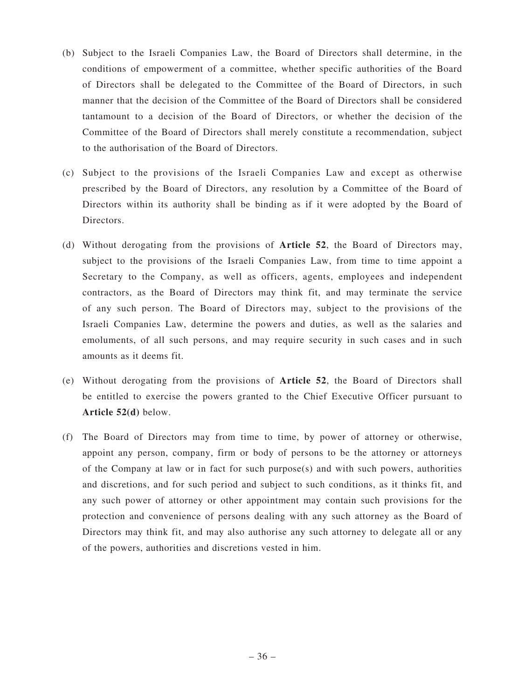- (b) Subject to the Israeli Companies Law, the Board of Directors shall determine, in the conditions of empowerment of a committee, whether specific authorities of the Board of Directors shall be delegated to the Committee of the Board of Directors, in such manner that the decision of the Committee of the Board of Directors shall be considered tantamount to a decision of the Board of Directors, or whether the decision of the Committee of the Board of Directors shall merely constitute a recommendation, subject to the authorisation of the Board of Directors.
- (c) Subject to the provisions of the Israeli Companies Law and except as otherwise prescribed by the Board of Directors, any resolution by a Committee of the Board of Directors within its authority shall be binding as if it were adopted by the Board of Directors.
- (d) Without derogating from the provisions of **Article 52**, the Board of Directors may, subject to the provisions of the Israeli Companies Law, from time to time appoint a Secretary to the Company, as well as officers, agents, employees and independent contractors, as the Board of Directors may think fit, and may terminate the service of any such person. The Board of Directors may, subject to the provisions of the Israeli Companies Law, determine the powers and duties, as well as the salaries and emoluments, of all such persons, and may require security in such cases and in such amounts as it deems fit.
- (e) Without derogating from the provisions of **Article 52**, the Board of Directors shall be entitled to exercise the powers granted to the Chief Executive Officer pursuant to **Article 52(d)** below.
- (f) The Board of Directors may from time to time, by power of attorney or otherwise, appoint any person, company, firm or body of persons to be the attorney or attorneys of the Company at law or in fact for such purpose $(s)$  and with such powers, authorities and discretions, and for such period and subject to such conditions, as it thinks fit, and any such power of attorney or other appointment may contain such provisions for the protection and convenience of persons dealing with any such attorney as the Board of Directors may think fit, and may also authorise any such attorney to delegate all or any of the powers, authorities and discretions vested in him.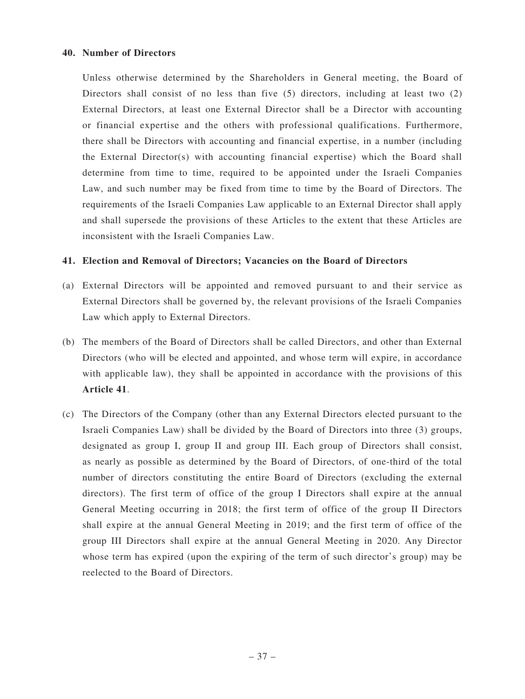### **40. Number of Directors**

Unless otherwise determined by the Shareholders in General meeting, the Board of Directors shall consist of no less than five (5) directors, including at least two (2) External Directors, at least one External Director shall be a Director with accounting or financial expertise and the others with professional qualifications. Furthermore, there shall be Directors with accounting and financial expertise, in a number (including the External Director(s) with accounting financial expertise) which the Board shall determine from time to time, required to be appointed under the Israeli Companies Law, and such number may be fixed from time to time by the Board of Directors. The requirements of the Israeli Companies Law applicable to an External Director shall apply and shall supersede the provisions of these Articles to the extent that these Articles are inconsistent with the Israeli Companies Law.

### **41. Election and Removal of Directors; Vacancies on the Board of Directors**

- (a) External Directors will be appointed and removed pursuant to and their service as External Directors shall be governed by, the relevant provisions of the Israeli Companies Law which apply to External Directors.
- (b) The members of the Board of Directors shall be called Directors, and other than External Directors (who will be elected and appointed, and whose term will expire, in accordance with applicable law), they shall be appointed in accordance with the provisions of this **Article 41**.
- (c) The Directors of the Company (other than any External Directors elected pursuant to the Israeli Companies Law) shall be divided by the Board of Directors into three (3) groups, designated as group I, group II and group III. Each group of Directors shall consist, as nearly as possible as determined by the Board of Directors, of one-third of the total number of directors constituting the entire Board of Directors (excluding the external directors). The first term of office of the group I Directors shall expire at the annual General Meeting occurring in 2018; the first term of office of the group II Directors shall expire at the annual General Meeting in 2019; and the first term of office of the group III Directors shall expire at the annual General Meeting in 2020. Any Director whose term has expired (upon the expiring of the term of such director's group) may be reelected to the Board of Directors.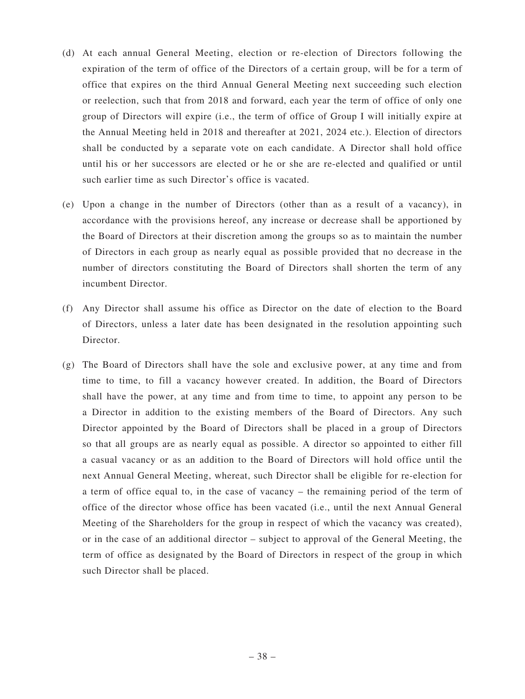- (d) At each annual General Meeting, election or re-election of Directors following the expiration of the term of office of the Directors of a certain group, will be for a term of office that expires on the third Annual General Meeting next succeeding such election or reelection, such that from 2018 and forward, each year the term of office of only one group of Directors will expire (i.e., the term of office of Group I will initially expire at the Annual Meeting held in 2018 and thereafter at 2021, 2024 etc.). Election of directors shall be conducted by a separate vote on each candidate. A Director shall hold office until his or her successors are elected or he or she are re-elected and qualified or until such earlier time as such Director's office is vacated.
- (e) Upon a change in the number of Directors (other than as a result of a vacancy), in accordance with the provisions hereof, any increase or decrease shall be apportioned by the Board of Directors at their discretion among the groups so as to maintain the number of Directors in each group as nearly equal as possible provided that no decrease in the number of directors constituting the Board of Directors shall shorten the term of any incumbent Director.
- (f) Any Director shall assume his office as Director on the date of election to the Board of Directors, unless a later date has been designated in the resolution appointing such Director.
- (g) The Board of Directors shall have the sole and exclusive power, at any time and from time to time, to fill a vacancy however created. In addition, the Board of Directors shall have the power, at any time and from time to time, to appoint any person to be a Director in addition to the existing members of the Board of Directors. Any such Director appointed by the Board of Directors shall be placed in a group of Directors so that all groups are as nearly equal as possible. A director so appointed to either fill a casual vacancy or as an addition to the Board of Directors will hold office until the next Annual General Meeting, whereat, such Director shall be eligible for re-election for a term of office equal to, in the case of vacancy – the remaining period of the term of office of the director whose office has been vacated (i.e., until the next Annual General Meeting of the Shareholders for the group in respect of which the vacancy was created), or in the case of an additional director – subject to approval of the General Meeting, the term of office as designated by the Board of Directors in respect of the group in which such Director shall be placed.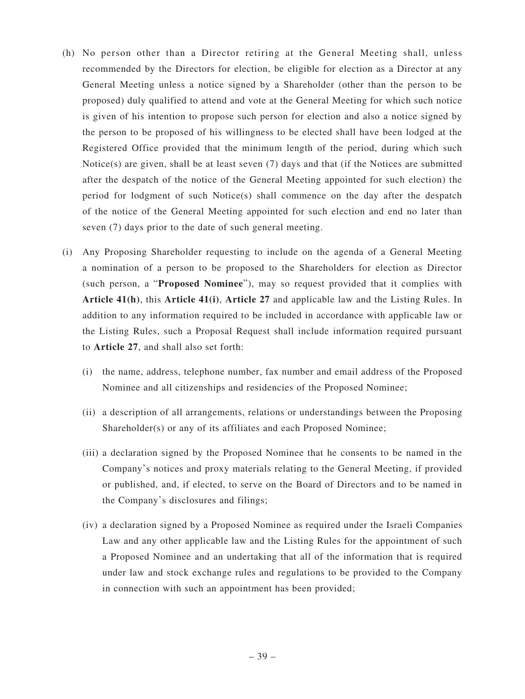- (h) No person other than a Director retiring at the General Meeting shall, unless recommended by the Directors for election, be eligible for election as a Director at any General Meeting unless a notice signed by a Shareholder (other than the person to be proposed) duly qualified to attend and vote at the General Meeting for which such notice is given of his intention to propose such person for election and also a notice signed by the person to be proposed of his willingness to be elected shall have been lodged at the Registered Office provided that the minimum length of the period, during which such Notice(s) are given, shall be at least seven (7) days and that (if the Notices are submitted after the despatch of the notice of the General Meeting appointed for such election) the period for lodgment of such Notice(s) shall commence on the day after the despatch of the notice of the General Meeting appointed for such election and end no later than seven (7) days prior to the date of such general meeting.
- (i) Any Proposing Shareholder requesting to include on the agenda of a General Meeting a nomination of a person to be proposed to the Shareholders for election as Director (such person, a "**Proposed Nominee**"), may so request provided that it complies with **Article 41(h)**, this **Article 41(i)**, **Article 27** and applicable law and the Listing Rules. In addition to any information required to be included in accordance with applicable law or the Listing Rules, such a Proposal Request shall include information required pursuant to **Article 27**, and shall also set forth:
	- (i) the name, address, telephone number, fax number and email address of the Proposed Nominee and all citizenships and residencies of the Proposed Nominee;
	- (ii) a description of all arrangements, relations or understandings between the Proposing Shareholder(s) or any of its affiliates and each Proposed Nominee;
	- (iii) a declaration signed by the Proposed Nominee that he consents to be named in the Company's notices and proxy materials relating to the General Meeting, if provided or published, and, if elected, to serve on the Board of Directors and to be named in the Company's disclosures and filings;
	- (iv) a declaration signed by a Proposed Nominee as required under the Israeli Companies Law and any other applicable law and the Listing Rules for the appointment of such a Proposed Nominee and an undertaking that all of the information that is required under law and stock exchange rules and regulations to be provided to the Company in connection with such an appointment has been provided;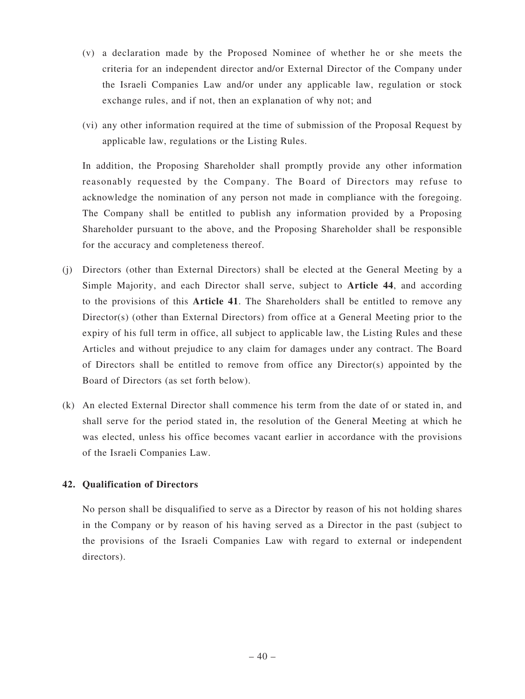- (v) a declaration made by the Proposed Nominee of whether he or she meets the criteria for an independent director and/or External Director of the Company under the Israeli Companies Law and/or under any applicable law, regulation or stock exchange rules, and if not, then an explanation of why not; and
- (vi) any other information required at the time of submission of the Proposal Request by applicable law, regulations or the Listing Rules.

In addition, the Proposing Shareholder shall promptly provide any other information reasonably requested by the Company. The Board of Directors may refuse to acknowledge the nomination of any person not made in compliance with the foregoing. The Company shall be entitled to publish any information provided by a Proposing Shareholder pursuant to the above, and the Proposing Shareholder shall be responsible for the accuracy and completeness thereof.

- (j) Directors (other than External Directors) shall be elected at the General Meeting by a Simple Majority, and each Director shall serve, subject to **Article 44**, and according to the provisions of this **Article 41**. The Shareholders shall be entitled to remove any Director(s) (other than External Directors) from office at a General Meeting prior to the expiry of his full term in office, all subject to applicable law, the Listing Rules and these Articles and without prejudice to any claim for damages under any contract. The Board of Directors shall be entitled to remove from office any Director(s) appointed by the Board of Directors (as set forth below).
- (k) An elected External Director shall commence his term from the date of or stated in, and shall serve for the period stated in, the resolution of the General Meeting at which he was elected, unless his office becomes vacant earlier in accordance with the provisions of the Israeli Companies Law.

### **42. Qualification of Directors**

No person shall be disqualified to serve as a Director by reason of his not holding shares in the Company or by reason of his having served as a Director in the past (subject to the provisions of the Israeli Companies Law with regard to external or independent directors).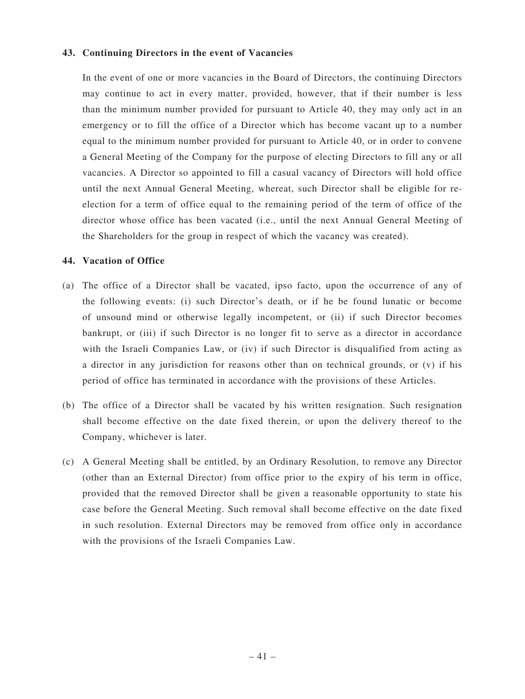#### **43. Continuing Directors in the event of Vacancies**

In the event of one or more vacancies in the Board of Directors, the continuing Directors may continue to act in every matter, provided, however, that if their number is less than the minimum number provided for pursuant to Article 40, they may only act in an emergency or to fill the office of a Director which has become vacant up to a number equal to the minimum number provided for pursuant to Article 40, or in order to convene a General Meeting of the Company for the purpose of electing Directors to fill any or all vacancies. A Director so appointed to fill a casual vacancy of Directors will hold office until the next Annual General Meeting, whereat, such Director shall be eligible for reelection for a term of office equal to the remaining period of the term of office of the director whose office has been vacated (i.e., until the next Annual General Meeting of the Shareholders for the group in respect of which the vacancy was created).

#### **44. Vacation of Office**

- (a) The office of a Director shall be vacated, ipso facto, upon the occurrence of any of the following events: (i) such Director's death, or if he be found lunatic or become of unsound mind or otherwise legally incompetent, or (ii) if such Director becomes bankrupt, or (iii) if such Director is no longer fit to serve as a director in accordance with the Israeli Companies Law, or (iv) if such Director is disqualified from acting as a director in any jurisdiction for reasons other than on technical grounds, or (v) if his period of office has terminated in accordance with the provisions of these Articles.
- (b) The office of a Director shall be vacated by his written resignation. Such resignation shall become effective on the date fixed therein, or upon the delivery thereof to the Company, whichever is later.
- (c) A General Meeting shall be entitled, by an Ordinary Resolution, to remove any Director (other than an External Director) from office prior to the expiry of his term in office, provided that the removed Director shall be given a reasonable opportunity to state his case before the General Meeting. Such removal shall become effective on the date fixed in such resolution. External Directors may be removed from office only in accordance with the provisions of the Israeli Companies Law.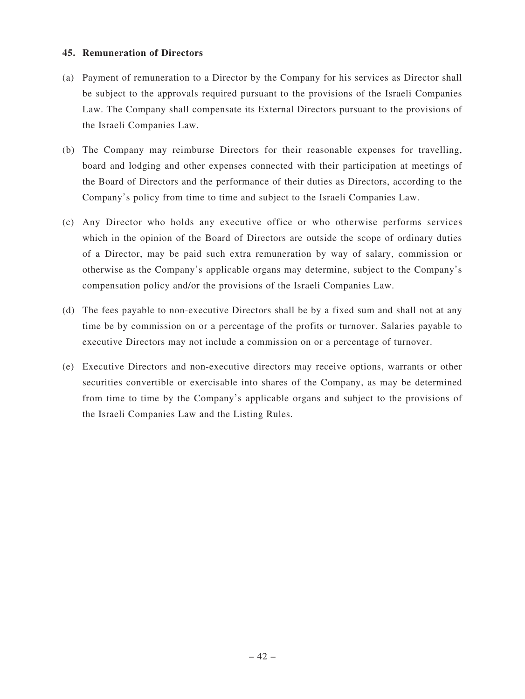### **45. Remuneration of Directors**

- (a) Payment of remuneration to a Director by the Company for his services as Director shall be subject to the approvals required pursuant to the provisions of the Israeli Companies Law. The Company shall compensate its External Directors pursuant to the provisions of the Israeli Companies Law.
- (b) The Company may reimburse Directors for their reasonable expenses for travelling, board and lodging and other expenses connected with their participation at meetings of the Board of Directors and the performance of their duties as Directors, according to the Company's policy from time to time and subject to the Israeli Companies Law.
- (c) Any Director who holds any executive office or who otherwise performs services which in the opinion of the Board of Directors are outside the scope of ordinary duties of a Director, may be paid such extra remuneration by way of salary, commission or otherwise as the Company's applicable organs may determine, subject to the Company's compensation policy and/or the provisions of the Israeli Companies Law.
- (d) The fees payable to non-executive Directors shall be by a fixed sum and shall not at any time be by commission on or a percentage of the profits or turnover. Salaries payable to executive Directors may not include a commission on or a percentage of turnover.
- (e) Executive Directors and non-executive directors may receive options, warrants or other securities convertible or exercisable into shares of the Company, as may be determined from time to time by the Company's applicable organs and subject to the provisions of the Israeli Companies Law and the Listing Rules.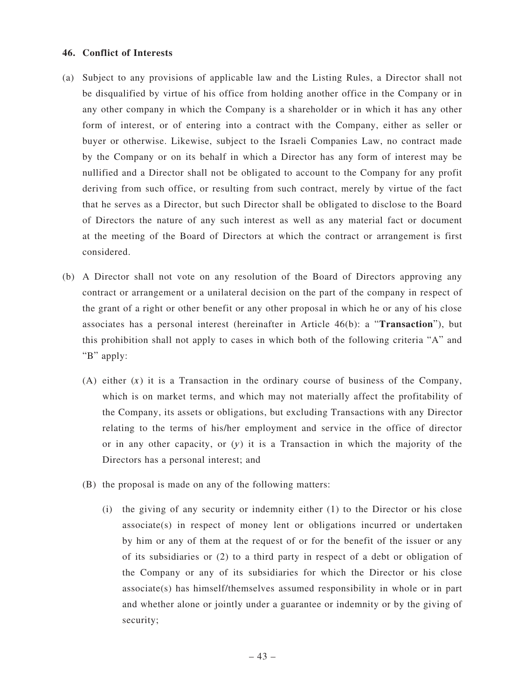### **46. Conflict of Interests**

- (a) Subject to any provisions of applicable law and the Listing Rules, a Director shall not be disqualified by virtue of his office from holding another office in the Company or in any other company in which the Company is a shareholder or in which it has any other form of interest, or of entering into a contract with the Company, either as seller or buyer or otherwise. Likewise, subject to the Israeli Companies Law, no contract made by the Company or on its behalf in which a Director has any form of interest may be nullified and a Director shall not be obligated to account to the Company for any profit deriving from such office, or resulting from such contract, merely by virtue of the fact that he serves as a Director, but such Director shall be obligated to disclose to the Board of Directors the nature of any such interest as well as any material fact or document at the meeting of the Board of Directors at which the contract or arrangement is first considered.
- (b) A Director shall not vote on any resolution of the Board of Directors approving any contract or arrangement or a unilateral decision on the part of the company in respect of the grant of a right or other benefit or any other proposal in which he or any of his close associates has a personal interest (hereinafter in Article 46(b): a "**Transaction**"), but this prohibition shall not apply to cases in which both of the following criteria "A" and "B" apply:
	- (A) either  $(x)$  it is a Transaction in the ordinary course of business of the Company, which is on market terms, and which may not materially affect the profitability of the Company, its assets or obligations, but excluding Transactions with any Director relating to the terms of his/her employment and service in the office of director or in any other capacity, or  $(y)$  it is a Transaction in which the majority of the Directors has a personal interest; and
	- (B) the proposal is made on any of the following matters:
		- (i) the giving of any security or indemnity either (1) to the Director or his close associate(s) in respect of money lent or obligations incurred or undertaken by him or any of them at the request of or for the benefit of the issuer or any of its subsidiaries or (2) to a third party in respect of a debt or obligation of the Company or any of its subsidiaries for which the Director or his close associate(s) has himself/themselves assumed responsibility in whole or in part and whether alone or jointly under a guarantee or indemnity or by the giving of security;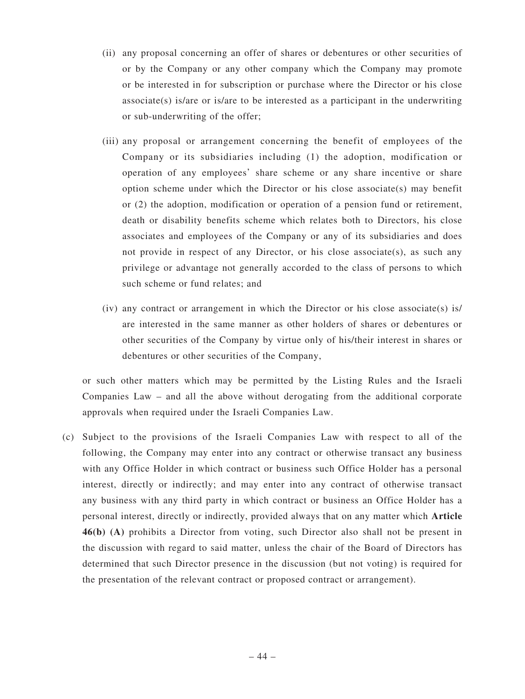- (ii) any proposal concerning an offer of shares or debentures or other securities of or by the Company or any other company which the Company may promote or be interested in for subscription or purchase where the Director or his close  $associate(s)$  is/are or is/are to be interested as a participant in the underwriting or sub-underwriting of the offer;
- (iii) any proposal or arrangement concerning the benefit of employees of the Company or its subsidiaries including (1) the adoption, modification or operation of any employees' share scheme or any share incentive or share option scheme under which the Director or his close associate(s) may benefit or (2) the adoption, modification or operation of a pension fund or retirement, death or disability benefits scheme which relates both to Directors, his close associates and employees of the Company or any of its subsidiaries and does not provide in respect of any Director, or his close associate(s), as such any privilege or advantage not generally accorded to the class of persons to which such scheme or fund relates; and
- $(iv)$  any contract or arrangement in which the Director or his close associate(s) is/ are interested in the same manner as other holders of shares or debentures or other securities of the Company by virtue only of his/their interest in shares or debentures or other securities of the Company,

or such other matters which may be permitted by the Listing Rules and the Israeli Companies Law – and all the above without derogating from the additional corporate approvals when required under the Israeli Companies Law.

(c) Subject to the provisions of the Israeli Companies Law with respect to all of the following, the Company may enter into any contract or otherwise transact any business with any Office Holder in which contract or business such Office Holder has a personal interest, directly or indirectly; and may enter into any contract of otherwise transact any business with any third party in which contract or business an Office Holder has a personal interest, directly or indirectly, provided always that on any matter which **Article 46(b) (A)** prohibits a Director from voting, such Director also shall not be present in the discussion with regard to said matter, unless the chair of the Board of Directors has determined that such Director presence in the discussion (but not voting) is required for the presentation of the relevant contract or proposed contract or arrangement).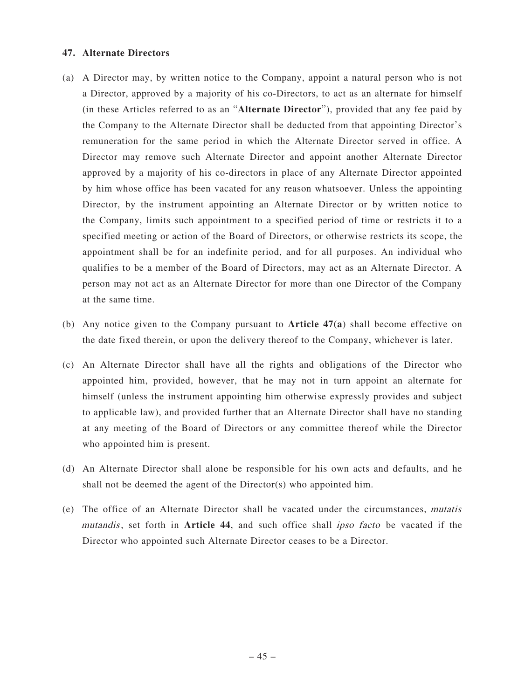### **47. Alternate Directors**

- (a) A Director may, by written notice to the Company, appoint a natural person who is not a Director, approved by a majority of his co-Directors, to act as an alternate for himself (in these Articles referred to as an "**Alternate Director**"), provided that any fee paid by the Company to the Alternate Director shall be deducted from that appointing Director's remuneration for the same period in which the Alternate Director served in office. A Director may remove such Alternate Director and appoint another Alternate Director approved by a majority of his co-directors in place of any Alternate Director appointed by him whose office has been vacated for any reason whatsoever. Unless the appointing Director, by the instrument appointing an Alternate Director or by written notice to the Company, limits such appointment to a specified period of time or restricts it to a specified meeting or action of the Board of Directors, or otherwise restricts its scope, the appointment shall be for an indefinite period, and for all purposes. An individual who qualifies to be a member of the Board of Directors, may act as an Alternate Director. A person may not act as an Alternate Director for more than one Director of the Company at the same time.
- (b) Any notice given to the Company pursuant to **Article 47(a**) shall become effective on the date fixed therein, or upon the delivery thereof to the Company, whichever is later.
- (c) An Alternate Director shall have all the rights and obligations of the Director who appointed him, provided, however, that he may not in turn appoint an alternate for himself (unless the instrument appointing him otherwise expressly provides and subject to applicable law), and provided further that an Alternate Director shall have no standing at any meeting of the Board of Directors or any committee thereof while the Director who appointed him is present.
- (d) An Alternate Director shall alone be responsible for his own acts and defaults, and he shall not be deemed the agent of the Director(s) who appointed him.
- (e) The office of an Alternate Director shall be vacated under the circumstances, mutatis mutandis, set forth in **Article 44**, and such office shall ipso facto be vacated if the Director who appointed such Alternate Director ceases to be a Director.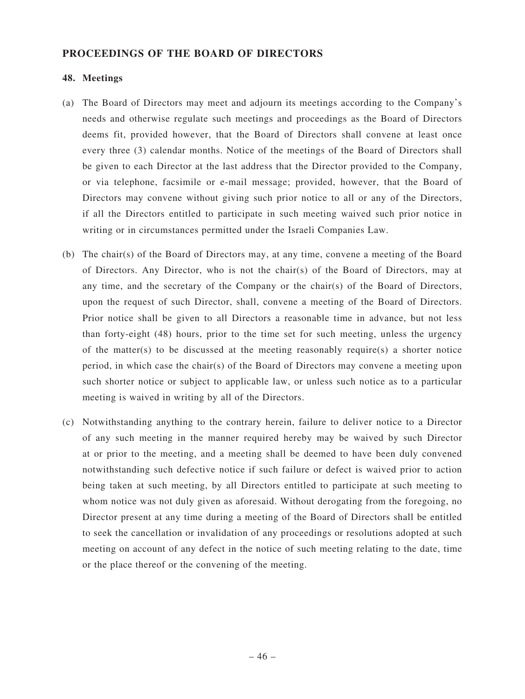### **PROCEEDINGS OF THE BOARD OF DIRECTORS**

### **48. Meetings**

- (a) The Board of Directors may meet and adjourn its meetings according to the Company's needs and otherwise regulate such meetings and proceedings as the Board of Directors deems fit, provided however, that the Board of Directors shall convene at least once every three (3) calendar months. Notice of the meetings of the Board of Directors shall be given to each Director at the last address that the Director provided to the Company, or via telephone, facsimile or e-mail message; provided, however, that the Board of Directors may convene without giving such prior notice to all or any of the Directors, if all the Directors entitled to participate in such meeting waived such prior notice in writing or in circumstances permitted under the Israeli Companies Law.
- (b) The chair(s) of the Board of Directors may, at any time, convene a meeting of the Board of Directors. Any Director, who is not the chair(s) of the Board of Directors, may at any time, and the secretary of the Company or the chair(s) of the Board of Directors, upon the request of such Director, shall, convene a meeting of the Board of Directors. Prior notice shall be given to all Directors a reasonable time in advance, but not less than forty-eight (48) hours, prior to the time set for such meeting, unless the urgency of the matter(s) to be discussed at the meeting reasonably require(s) a shorter notice period, in which case the chair(s) of the Board of Directors may convene a meeting upon such shorter notice or subject to applicable law, or unless such notice as to a particular meeting is waived in writing by all of the Directors.
- (c) Notwithstanding anything to the contrary herein, failure to deliver notice to a Director of any such meeting in the manner required hereby may be waived by such Director at or prior to the meeting, and a meeting shall be deemed to have been duly convened notwithstanding such defective notice if such failure or defect is waived prior to action being taken at such meeting, by all Directors entitled to participate at such meeting to whom notice was not duly given as aforesaid. Without derogating from the foregoing, no Director present at any time during a meeting of the Board of Directors shall be entitled to seek the cancellation or invalidation of any proceedings or resolutions adopted at such meeting on account of any defect in the notice of such meeting relating to the date, time or the place thereof or the convening of the meeting.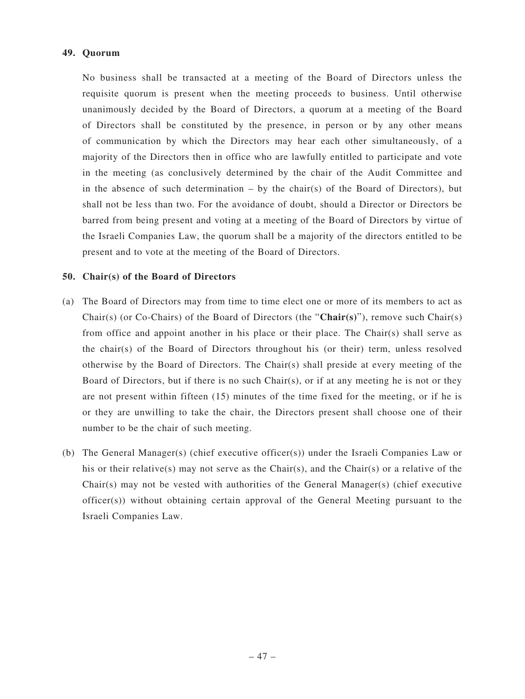### **49. Quorum**

No business shall be transacted at a meeting of the Board of Directors unless the requisite quorum is present when the meeting proceeds to business. Until otherwise unanimously decided by the Board of Directors, a quorum at a meeting of the Board of Directors shall be constituted by the presence, in person or by any other means of communication by which the Directors may hear each other simultaneously, of a majority of the Directors then in office who are lawfully entitled to participate and vote in the meeting (as conclusively determined by the chair of the Audit Committee and in the absence of such determination  $-$  by the chair(s) of the Board of Directors), but shall not be less than two. For the avoidance of doubt, should a Director or Directors be barred from being present and voting at a meeting of the Board of Directors by virtue of the Israeli Companies Law, the quorum shall be a majority of the directors entitled to be present and to vote at the meeting of the Board of Directors.

### **50. Chair(s) of the Board of Directors**

- (a) The Board of Directors may from time to time elect one or more of its members to act as Chair(s) (or Co-Chairs) of the Board of Directors (the "**Chair(s)**"), remove such Chair(s) from office and appoint another in his place or their place. The Chair(s) shall serve as the chair(s) of the Board of Directors throughout his (or their) term, unless resolved otherwise by the Board of Directors. The Chair(s) shall preside at every meeting of the Board of Directors, but if there is no such Chair(s), or if at any meeting he is not or they are not present within fifteen (15) minutes of the time fixed for the meeting, or if he is or they are unwilling to take the chair, the Directors present shall choose one of their number to be the chair of such meeting.
- (b) The General Manager(s) (chief executive officer(s)) under the Israeli Companies Law or his or their relative(s) may not serve as the Chair(s), and the Chair(s) or a relative of the Chair(s) may not be vested with authorities of the General Manager(s) (chief executive officer(s)) without obtaining certain approval of the General Meeting pursuant to the Israeli Companies Law.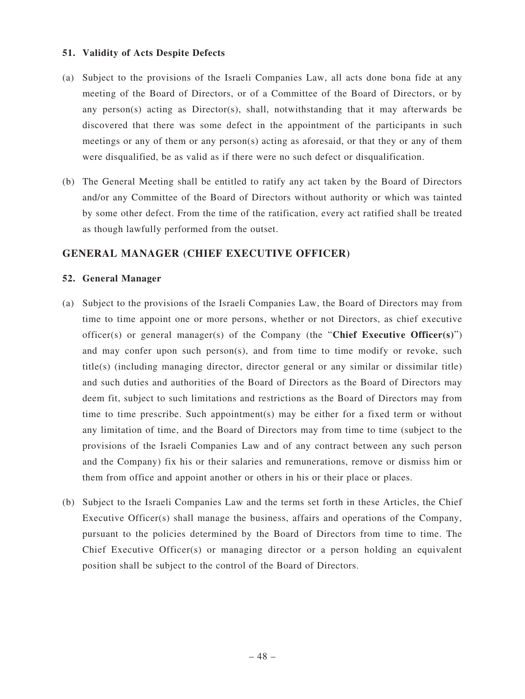### **51. Validity of Acts Despite Defects**

- (a) Subject to the provisions of the Israeli Companies Law, all acts done bona fide at any meeting of the Board of Directors, or of a Committee of the Board of Directors, or by any person(s) acting as Director(s), shall, notwithstanding that it may afterwards be discovered that there was some defect in the appointment of the participants in such meetings or any of them or any person(s) acting as aforesaid, or that they or any of them were disqualified, be as valid as if there were no such defect or disqualification.
- (b) The General Meeting shall be entitled to ratify any act taken by the Board of Directors and/or any Committee of the Board of Directors without authority or which was tainted by some other defect. From the time of the ratification, every act ratified shall be treated as though lawfully performed from the outset.

# **GENERAL MANAGER (CHIEF EXECUTIVE OFFICER)**

### **52. General Manager**

- (a) Subject to the provisions of the Israeli Companies Law, the Board of Directors may from time to time appoint one or more persons, whether or not Directors, as chief executive officer(s) or general manager(s) of the Company (the "**Chief Executive Officer(s)**") and may confer upon such person(s), and from time to time modify or revoke, such title(s) (including managing director, director general or any similar or dissimilar title) and such duties and authorities of the Board of Directors as the Board of Directors may deem fit, subject to such limitations and restrictions as the Board of Directors may from time to time prescribe. Such appointment(s) may be either for a fixed term or without any limitation of time, and the Board of Directors may from time to time (subject to the provisions of the Israeli Companies Law and of any contract between any such person and the Company) fix his or their salaries and remunerations, remove or dismiss him or them from office and appoint another or others in his or their place or places.
- (b) Subject to the Israeli Companies Law and the terms set forth in these Articles, the Chief Executive Officer(s) shall manage the business, affairs and operations of the Company, pursuant to the policies determined by the Board of Directors from time to time. The Chief Executive Officer(s) or managing director or a person holding an equivalent position shall be subject to the control of the Board of Directors.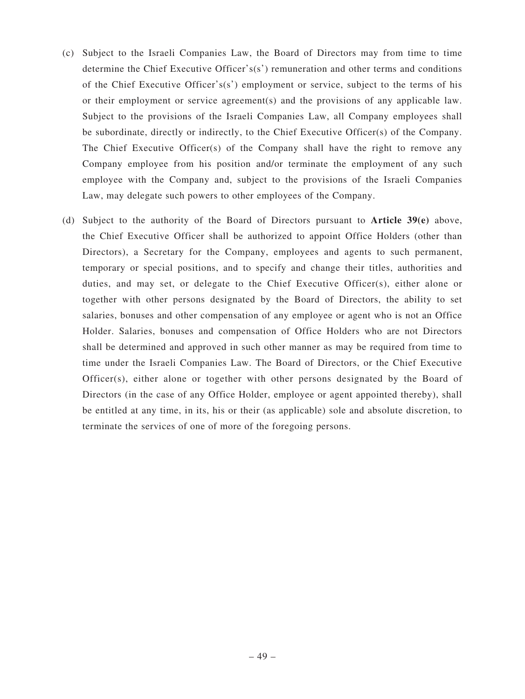- (c) Subject to the Israeli Companies Law, the Board of Directors may from time to time determine the Chief Executive Officer's(s') remuneration and other terms and conditions of the Chief Executive Officer's(s') employment or service, subject to the terms of his or their employment or service agreement(s) and the provisions of any applicable law. Subject to the provisions of the Israeli Companies Law, all Company employees shall be subordinate, directly or indirectly, to the Chief Executive Officer(s) of the Company. The Chief Executive Officer(s) of the Company shall have the right to remove any Company employee from his position and/or terminate the employment of any such employee with the Company and, subject to the provisions of the Israeli Companies Law, may delegate such powers to other employees of the Company.
- (d) Subject to the authority of the Board of Directors pursuant to **Article 39(e)** above, the Chief Executive Officer shall be authorized to appoint Office Holders (other than Directors), a Secretary for the Company, employees and agents to such permanent, temporary or special positions, and to specify and change their titles, authorities and duties, and may set, or delegate to the Chief Executive Officer(s), either alone or together with other persons designated by the Board of Directors, the ability to set salaries, bonuses and other compensation of any employee or agent who is not an Office Holder. Salaries, bonuses and compensation of Office Holders who are not Directors shall be determined and approved in such other manner as may be required from time to time under the Israeli Companies Law. The Board of Directors, or the Chief Executive Officer(s), either alone or together with other persons designated by the Board of Directors (in the case of any Office Holder, employee or agent appointed thereby), shall be entitled at any time, in its, his or their (as applicable) sole and absolute discretion, to terminate the services of one of more of the foregoing persons.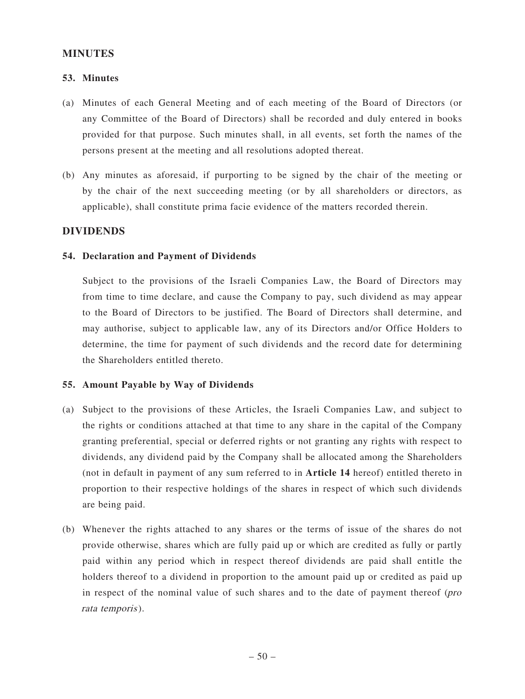### **MINUTES**

### **53. Minutes**

- (a) Minutes of each General Meeting and of each meeting of the Board of Directors (or any Committee of the Board of Directors) shall be recorded and duly entered in books provided for that purpose. Such minutes shall, in all events, set forth the names of the persons present at the meeting and all resolutions adopted thereat.
- (b) Any minutes as aforesaid, if purporting to be signed by the chair of the meeting or by the chair of the next succeeding meeting (or by all shareholders or directors, as applicable), shall constitute prima facie evidence of the matters recorded therein.

### **DIVIDENDS**

#### **54. Declaration and Payment of Dividends**

Subject to the provisions of the Israeli Companies Law, the Board of Directors may from time to time declare, and cause the Company to pay, such dividend as may appear to the Board of Directors to be justified. The Board of Directors shall determine, and may authorise, subject to applicable law, any of its Directors and/or Office Holders to determine, the time for payment of such dividends and the record date for determining the Shareholders entitled thereto.

#### **55. Amount Payable by Way of Dividends**

- (a) Subject to the provisions of these Articles, the Israeli Companies Law, and subject to the rights or conditions attached at that time to any share in the capital of the Company granting preferential, special or deferred rights or not granting any rights with respect to dividends, any dividend paid by the Company shall be allocated among the Shareholders (not in default in payment of any sum referred to in **Article 14** hereof) entitled thereto in proportion to their respective holdings of the shares in respect of which such dividends are being paid.
- (b) Whenever the rights attached to any shares or the terms of issue of the shares do not provide otherwise, shares which are fully paid up or which are credited as fully or partly paid within any period which in respect thereof dividends are paid shall entitle the holders thereof to a dividend in proportion to the amount paid up or credited as paid up in respect of the nominal value of such shares and to the date of payment thereof (pro rata temporis).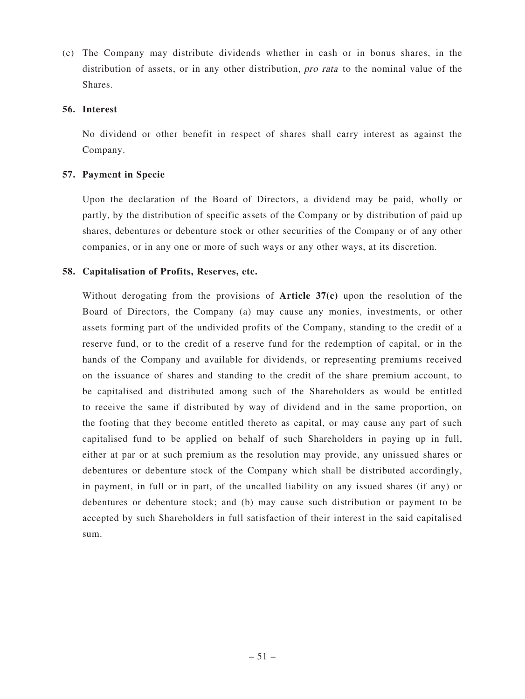(c) The Company may distribute dividends whether in cash or in bonus shares, in the distribution of assets, or in any other distribution, pro rata to the nominal value of the Shares.

### **56. Interest**

No dividend or other benefit in respect of shares shall carry interest as against the Company.

### **57. Payment in Specie**

Upon the declaration of the Board of Directors, a dividend may be paid, wholly or partly, by the distribution of specific assets of the Company or by distribution of paid up shares, debentures or debenture stock or other securities of the Company or of any other companies, or in any one or more of such ways or any other ways, at its discretion.

### **58. Capitalisation of Profits, Reserves, etc.**

Without derogating from the provisions of **Article 37(c)** upon the resolution of the Board of Directors, the Company (a) may cause any monies, investments, or other assets forming part of the undivided profits of the Company, standing to the credit of a reserve fund, or to the credit of a reserve fund for the redemption of capital, or in the hands of the Company and available for dividends, or representing premiums received on the issuance of shares and standing to the credit of the share premium account, to be capitalised and distributed among such of the Shareholders as would be entitled to receive the same if distributed by way of dividend and in the same proportion, on the footing that they become entitled thereto as capital, or may cause any part of such capitalised fund to be applied on behalf of such Shareholders in paying up in full, either at par or at such premium as the resolution may provide, any unissued shares or debentures or debenture stock of the Company which shall be distributed accordingly, in payment, in full or in part, of the uncalled liability on any issued shares (if any) or debentures or debenture stock; and (b) may cause such distribution or payment to be accepted by such Shareholders in full satisfaction of their interest in the said capitalised sum.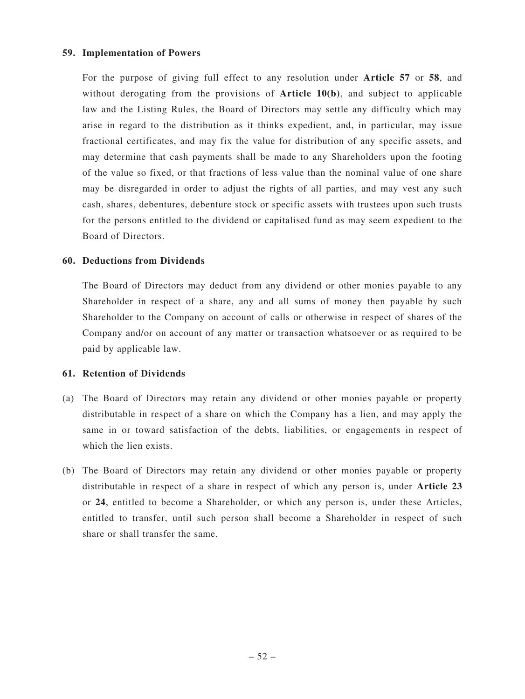### **59. Implementation of Powers**

For the purpose of giving full effect to any resolution under **Article 57** or **58**, and without derogating from the provisions of **Article 10(b)**, and subject to applicable law and the Listing Rules, the Board of Directors may settle any difficulty which may arise in regard to the distribution as it thinks expedient, and, in particular, may issue fractional certificates, and may fix the value for distribution of any specific assets, and may determine that cash payments shall be made to any Shareholders upon the footing of the value so fixed, or that fractions of less value than the nominal value of one share may be disregarded in order to adjust the rights of all parties, and may vest any such cash, shares, debentures, debenture stock or specific assets with trustees upon such trusts for the persons entitled to the dividend or capitalised fund as may seem expedient to the Board of Directors.

### **60. Deductions from Dividends**

The Board of Directors may deduct from any dividend or other monies payable to any Shareholder in respect of a share, any and all sums of money then payable by such Shareholder to the Company on account of calls or otherwise in respect of shares of the Company and/or on account of any matter or transaction whatsoever or as required to be paid by applicable law.

### **61. Retention of Dividends**

- (a) The Board of Directors may retain any dividend or other monies payable or property distributable in respect of a share on which the Company has a lien, and may apply the same in or toward satisfaction of the debts, liabilities, or engagements in respect of which the lien exists.
- (b) The Board of Directors may retain any dividend or other monies payable or property distributable in respect of a share in respect of which any person is, under **Article 23** or **24**, entitled to become a Shareholder, or which any person is, under these Articles, entitled to transfer, until such person shall become a Shareholder in respect of such share or shall transfer the same.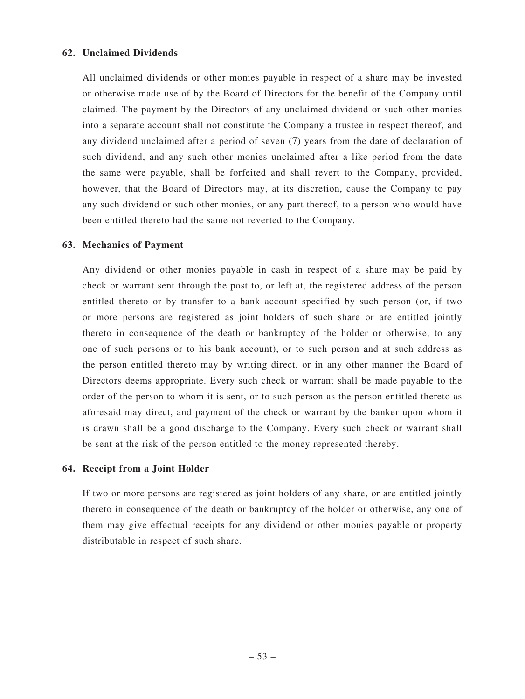### **62. Unclaimed Dividends**

All unclaimed dividends or other monies payable in respect of a share may be invested or otherwise made use of by the Board of Directors for the benefit of the Company until claimed. The payment by the Directors of any unclaimed dividend or such other monies into a separate account shall not constitute the Company a trustee in respect thereof, and any dividend unclaimed after a period of seven (7) years from the date of declaration of such dividend, and any such other monies unclaimed after a like period from the date the same were payable, shall be forfeited and shall revert to the Company, provided, however, that the Board of Directors may, at its discretion, cause the Company to pay any such dividend or such other monies, or any part thereof, to a person who would have been entitled thereto had the same not reverted to the Company.

### **63. Mechanics of Payment**

Any dividend or other monies payable in cash in respect of a share may be paid by check or warrant sent through the post to, or left at, the registered address of the person entitled thereto or by transfer to a bank account specified by such person (or, if two or more persons are registered as joint holders of such share or are entitled jointly thereto in consequence of the death or bankruptcy of the holder or otherwise, to any one of such persons or to his bank account), or to such person and at such address as the person entitled thereto may by writing direct, or in any other manner the Board of Directors deems appropriate. Every such check or warrant shall be made payable to the order of the person to whom it is sent, or to such person as the person entitled thereto as aforesaid may direct, and payment of the check or warrant by the banker upon whom it is drawn shall be a good discharge to the Company. Every such check or warrant shall be sent at the risk of the person entitled to the money represented thereby.

#### **64. Receipt from a Joint Holder**

If two or more persons are registered as joint holders of any share, or are entitled jointly thereto in consequence of the death or bankruptcy of the holder or otherwise, any one of them may give effectual receipts for any dividend or other monies payable or property distributable in respect of such share.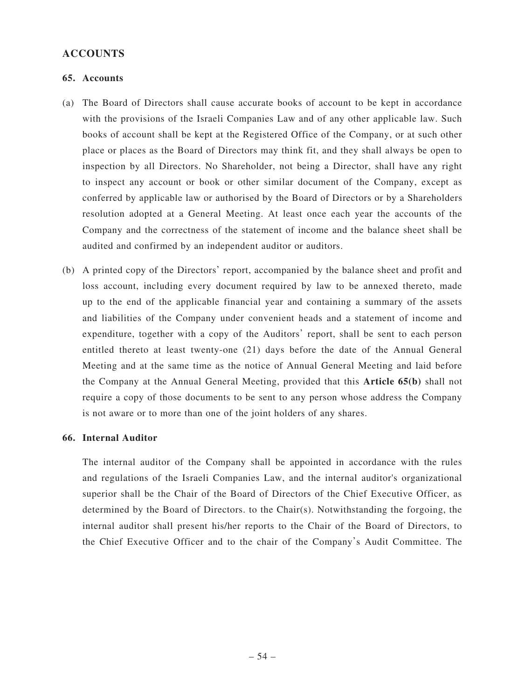# **ACCOUNTS**

### **65. Accounts**

- (a) The Board of Directors shall cause accurate books of account to be kept in accordance with the provisions of the Israeli Companies Law and of any other applicable law. Such books of account shall be kept at the Registered Office of the Company, or at such other place or places as the Board of Directors may think fit, and they shall always be open to inspection by all Directors. No Shareholder, not being a Director, shall have any right to inspect any account or book or other similar document of the Company, except as conferred by applicable law or authorised by the Board of Directors or by a Shareholders resolution adopted at a General Meeting. At least once each year the accounts of the Company and the correctness of the statement of income and the balance sheet shall be audited and confirmed by an independent auditor or auditors.
- (b) A printed copy of the Directors' report, accompanied by the balance sheet and profit and loss account, including every document required by law to be annexed thereto, made up to the end of the applicable financial year and containing a summary of the assets and liabilities of the Company under convenient heads and a statement of income and expenditure, together with a copy of the Auditors' report, shall be sent to each person entitled thereto at least twenty-one (21) days before the date of the Annual General Meeting and at the same time as the notice of Annual General Meeting and laid before the Company at the Annual General Meeting, provided that this **Article 65(b)** shall not require a copy of those documents to be sent to any person whose address the Company is not aware or to more than one of the joint holders of any shares.

#### **66. Internal Auditor**

The internal auditor of the Company shall be appointed in accordance with the rules and regulations of the Israeli Companies Law, and the internal auditor's organizational superior shall be the Chair of the Board of Directors of the Chief Executive Officer, as determined by the Board of Directors. to the Chair(s). Notwithstanding the forgoing, the internal auditor shall present his/her reports to the Chair of the Board of Directors, to the Chief Executive Officer and to the chair of the Company's Audit Committee. The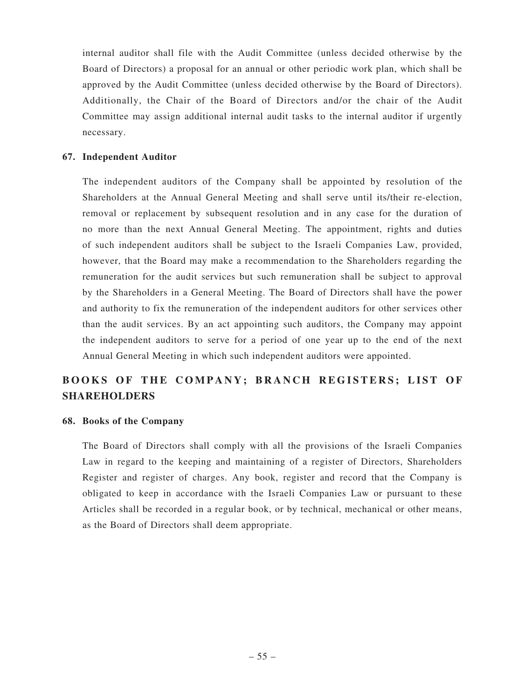internal auditor shall file with the Audit Committee (unless decided otherwise by the Board of Directors) a proposal for an annual or other periodic work plan, which shall be approved by the Audit Committee (unless decided otherwise by the Board of Directors). Additionally, the Chair of the Board of Directors and/or the chair of the Audit Committee may assign additional internal audit tasks to the internal auditor if urgently necessary.

### **67. Independent Auditor**

The independent auditors of the Company shall be appointed by resolution of the Shareholders at the Annual General Meeting and shall serve until its/their re-election, removal or replacement by subsequent resolution and in any case for the duration of no more than the next Annual General Meeting. The appointment, rights and duties of such independent auditors shall be subject to the Israeli Companies Law, provided, however, that the Board may make a recommendation to the Shareholders regarding the remuneration for the audit services but such remuneration shall be subject to approval by the Shareholders in a General Meeting. The Board of Directors shall have the power and authority to fix the remuneration of the independent auditors for other services other than the audit services. By an act appointing such auditors, the Company may appoint the independent auditors to serve for a period of one year up to the end of the next Annual General Meeting in which such independent auditors were appointed.

# BOOKS OF THE COMPANY; BRANCH REGISTERS; LIST OF **SHAREHOLDERS**

#### **68. Books of the Company**

The Board of Directors shall comply with all the provisions of the Israeli Companies Law in regard to the keeping and maintaining of a register of Directors, Shareholders Register and register of charges. Any book, register and record that the Company is obligated to keep in accordance with the Israeli Companies Law or pursuant to these Articles shall be recorded in a regular book, or by technical, mechanical or other means, as the Board of Directors shall deem appropriate.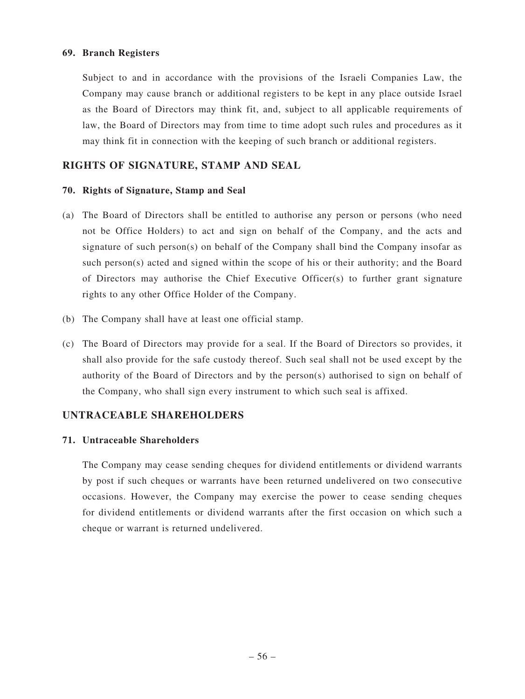### **69. Branch Registers**

Subject to and in accordance with the provisions of the Israeli Companies Law, the Company may cause branch or additional registers to be kept in any place outside Israel as the Board of Directors may think fit, and, subject to all applicable requirements of law, the Board of Directors may from time to time adopt such rules and procedures as it may think fit in connection with the keeping of such branch or additional registers.

# **RIGHTS OF SIGNATURE, STAMP AND SEAL**

### **70. Rights of Signature, Stamp and Seal**

- (a) The Board of Directors shall be entitled to authorise any person or persons (who need not be Office Holders) to act and sign on behalf of the Company, and the acts and signature of such person(s) on behalf of the Company shall bind the Company insofar as such person(s) acted and signed within the scope of his or their authority; and the Board of Directors may authorise the Chief Executive Officer(s) to further grant signature rights to any other Office Holder of the Company.
- (b) The Company shall have at least one official stamp.
- (c) The Board of Directors may provide for a seal. If the Board of Directors so provides, it shall also provide for the safe custody thereof. Such seal shall not be used except by the authority of the Board of Directors and by the person(s) authorised to sign on behalf of the Company, who shall sign every instrument to which such seal is affixed.

### **UNTRACEABLE SHAREHOLDERS**

### **71. Untraceable Shareholders**

The Company may cease sending cheques for dividend entitlements or dividend warrants by post if such cheques or warrants have been returned undelivered on two consecutive occasions. However, the Company may exercise the power to cease sending cheques for dividend entitlements or dividend warrants after the first occasion on which such a cheque or warrant is returned undelivered.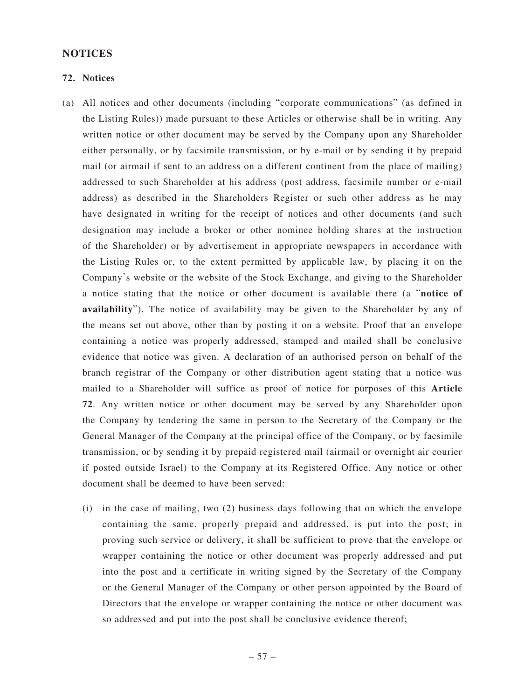### **NOTICES**

#### **72. Notices**

- (a) All notices and other documents (including "corporate communications" (as defined in the Listing Rules)) made pursuant to these Articles or otherwise shall be in writing. Any written notice or other document may be served by the Company upon any Shareholder either personally, or by facsimile transmission, or by e-mail or by sending it by prepaid mail (or airmail if sent to an address on a different continent from the place of mailing) addressed to such Shareholder at his address (post address, facsimile number or e-mail address) as described in the Shareholders Register or such other address as he may have designated in writing for the receipt of notices and other documents (and such designation may include a broker or other nominee holding shares at the instruction of the Shareholder) or by advertisement in appropriate newspapers in accordance with the Listing Rules or, to the extent permitted by applicable law, by placing it on the Company's website or the website of the Stock Exchange, and giving to the Shareholder a notice stating that the notice or other document is available there (a "**notice of availability**"). The notice of availability may be given to the Shareholder by any of the means set out above, other than by posting it on a website. Proof that an envelope containing a notice was properly addressed, stamped and mailed shall be conclusive evidence that notice was given. A declaration of an authorised person on behalf of the branch registrar of the Company or other distribution agent stating that a notice was mailed to a Shareholder will suffice as proof of notice for purposes of this **Article 72**. Any written notice or other document may be served by any Shareholder upon the Company by tendering the same in person to the Secretary of the Company or the General Manager of the Company at the principal office of the Company, or by facsimile transmission, or by sending it by prepaid registered mail (airmail or overnight air courier if posted outside Israel) to the Company at its Registered Office. Any notice or other document shall be deemed to have been served:
	- (i) in the case of mailing, two (2) business days following that on which the envelope containing the same, properly prepaid and addressed, is put into the post; in proving such service or delivery, it shall be sufficient to prove that the envelope or wrapper containing the notice or other document was properly addressed and put into the post and a certificate in writing signed by the Secretary of the Company or the General Manager of the Company or other person appointed by the Board of Directors that the envelope or wrapper containing the notice or other document was so addressed and put into the post shall be conclusive evidence thereof;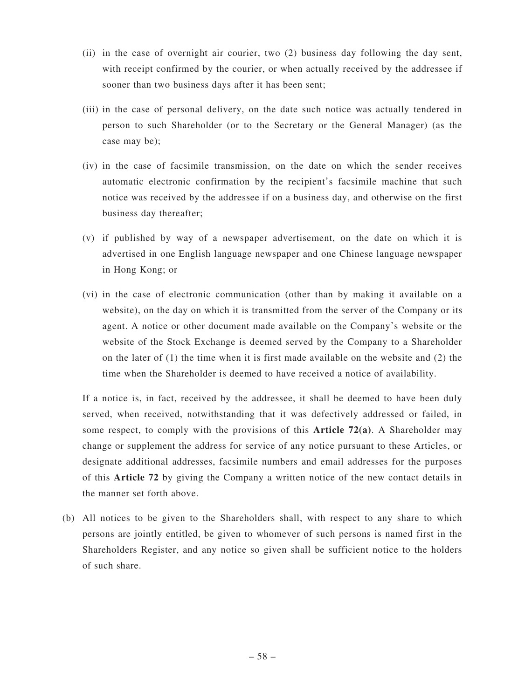- (ii) in the case of overnight air courier, two (2) business day following the day sent, with receipt confirmed by the courier, or when actually received by the addressee if sooner than two business days after it has been sent;
- (iii) in the case of personal delivery, on the date such notice was actually tendered in person to such Shareholder (or to the Secretary or the General Manager) (as the case may be);
- (iv) in the case of facsimile transmission, on the date on which the sender receives automatic electronic confirmation by the recipient's facsimile machine that such notice was received by the addressee if on a business day, and otherwise on the first business day thereafter;
- (v) if published by way of a newspaper advertisement, on the date on which it is advertised in one English language newspaper and one Chinese language newspaper in Hong Kong; or
- (vi) in the case of electronic communication (other than by making it available on a website), on the day on which it is transmitted from the server of the Company or its agent. A notice or other document made available on the Company's website or the website of the Stock Exchange is deemed served by the Company to a Shareholder on the later of (1) the time when it is first made available on the website and (2) the time when the Shareholder is deemed to have received a notice of availability.

If a notice is, in fact, received by the addressee, it shall be deemed to have been duly served, when received, notwithstanding that it was defectively addressed or failed, in some respect, to comply with the provisions of this **Article 72(a)**. A Shareholder may change or supplement the address for service of any notice pursuant to these Articles, or designate additional addresses, facsimile numbers and email addresses for the purposes of this **Article 72** by giving the Company a written notice of the new contact details in the manner set forth above.

(b) All notices to be given to the Shareholders shall, with respect to any share to which persons are jointly entitled, be given to whomever of such persons is named first in the Shareholders Register, and any notice so given shall be sufficient notice to the holders of such share.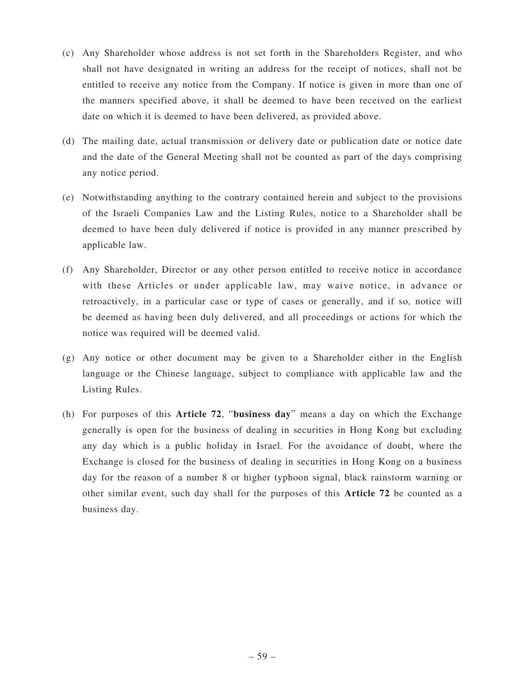- (c) Any Shareholder whose address is not set forth in the Shareholders Register, and who shall not have designated in writing an address for the receipt of notices, shall not be entitled to receive any notice from the Company. If notice is given in more than one of the manners specified above, it shall be deemed to have been received on the earliest date on which it is deemed to have been delivered, as provided above.
- (d) The mailing date, actual transmission or delivery date or publication date or notice date and the date of the General Meeting shall not be counted as part of the days comprising any notice period.
- (e) Notwithstanding anything to the contrary contained herein and subject to the provisions of the Israeli Companies Law and the Listing Rules, notice to a Shareholder shall be deemed to have been duly delivered if notice is provided in any manner prescribed by applicable law.
- (f) Any Shareholder, Director or any other person entitled to receive notice in accordance with these Articles or under applicable law, may waive notice, in advance or retroactively, in a particular case or type of cases or generally, and if so, notice will be deemed as having been duly delivered, and all proceedings or actions for which the notice was required will be deemed valid.
- (g) Any notice or other document may be given to a Shareholder either in the English language or the Chinese language, subject to compliance with applicable law and the Listing Rules.
- (h) For purposes of this **Article 72**, "**business day**" means a day on which the Exchange generally is open for the business of dealing in securities in Hong Kong but excluding any day which is a public holiday in Israel. For the avoidance of doubt, where the Exchange is closed for the business of dealing in securities in Hong Kong on a business day for the reason of a number 8 or higher typhoon signal, black rainstorm warning or other similar event, such day shall for the purposes of this **Article 72** be counted as a business day.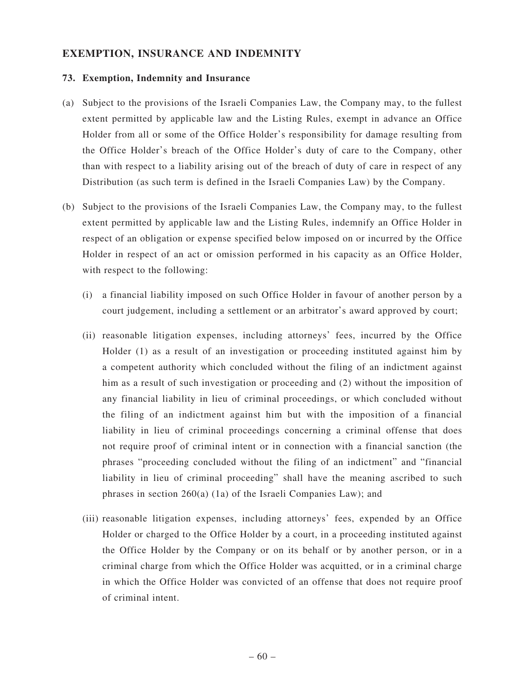# **EXEMPTION, INSURANCE AND INDEMNITY**

### **73. Exemption, Indemnity and Insurance**

- (a) Subject to the provisions of the Israeli Companies Law, the Company may, to the fullest extent permitted by applicable law and the Listing Rules, exempt in advance an Office Holder from all or some of the Office Holder's responsibility for damage resulting from the Office Holder's breach of the Office Holder's duty of care to the Company, other than with respect to a liability arising out of the breach of duty of care in respect of any Distribution (as such term is defined in the Israeli Companies Law) by the Company.
- (b) Subject to the provisions of the Israeli Companies Law, the Company may, to the fullest extent permitted by applicable law and the Listing Rules, indemnify an Office Holder in respect of an obligation or expense specified below imposed on or incurred by the Office Holder in respect of an act or omission performed in his capacity as an Office Holder, with respect to the following:
	- (i) a financial liability imposed on such Office Holder in favour of another person by a court judgement, including a settlement or an arbitrator's award approved by court;
	- (ii) reasonable litigation expenses, including attorneys' fees, incurred by the Office Holder (1) as a result of an investigation or proceeding instituted against him by a competent authority which concluded without the filing of an indictment against him as a result of such investigation or proceeding and (2) without the imposition of any financial liability in lieu of criminal proceedings, or which concluded without the filing of an indictment against him but with the imposition of a financial liability in lieu of criminal proceedings concerning a criminal offense that does not require proof of criminal intent or in connection with a financial sanction (the phrases "proceeding concluded without the filing of an indictment" and "financial liability in lieu of criminal proceeding" shall have the meaning ascribed to such phrases in section 260(a) (1a) of the Israeli Companies Law); and
	- (iii) reasonable litigation expenses, including attorneys' fees, expended by an Office Holder or charged to the Office Holder by a court, in a proceeding instituted against the Office Holder by the Company or on its behalf or by another person, or in a criminal charge from which the Office Holder was acquitted, or in a criminal charge in which the Office Holder was convicted of an offense that does not require proof of criminal intent.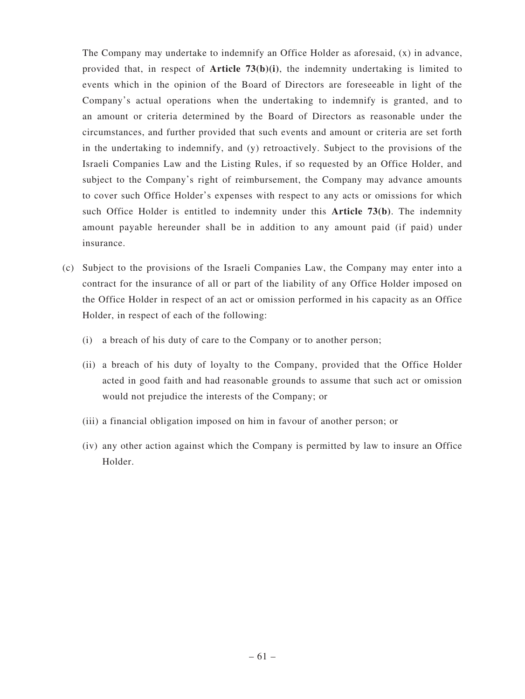The Company may undertake to indemnify an Office Holder as aforesaid, (x) in advance, provided that, in respect of **Article 73(b)(i)**, the indemnity undertaking is limited to events which in the opinion of the Board of Directors are foreseeable in light of the Company's actual operations when the undertaking to indemnify is granted, and to an amount or criteria determined by the Board of Directors as reasonable under the circumstances, and further provided that such events and amount or criteria are set forth in the undertaking to indemnify, and (y) retroactively. Subject to the provisions of the Israeli Companies Law and the Listing Rules, if so requested by an Office Holder, and subject to the Company's right of reimbursement, the Company may advance amounts to cover such Office Holder's expenses with respect to any acts or omissions for which such Office Holder is entitled to indemnity under this **Article 73(b)**. The indemnity amount payable hereunder shall be in addition to any amount paid (if paid) under insurance.

- (c) Subject to the provisions of the Israeli Companies Law, the Company may enter into a contract for the insurance of all or part of the liability of any Office Holder imposed on the Office Holder in respect of an act or omission performed in his capacity as an Office Holder, in respect of each of the following:
	- (i) a breach of his duty of care to the Company or to another person;
	- (ii) a breach of his duty of loyalty to the Company, provided that the Office Holder acted in good faith and had reasonable grounds to assume that such act or omission would not prejudice the interests of the Company; or
	- (iii) a financial obligation imposed on him in favour of another person; or
	- (iv) any other action against which the Company is permitted by law to insure an Office Holder.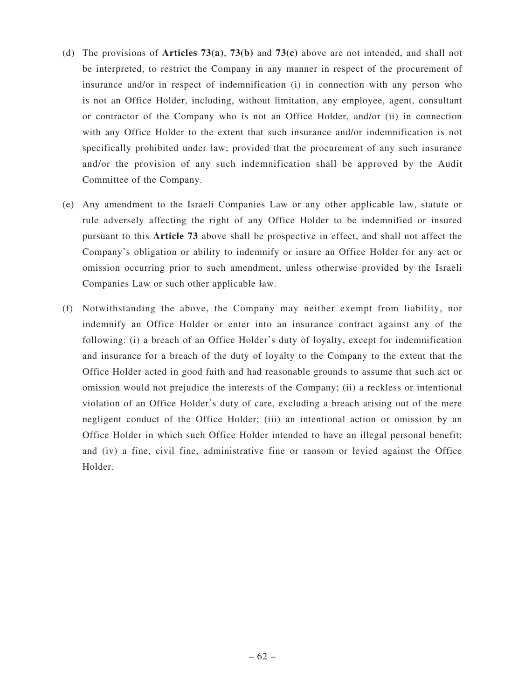- (d) The provisions of **Articles 73(a)**, **73(b)** and **73(c)** above are not intended, and shall not be interpreted, to restrict the Company in any manner in respect of the procurement of insurance and/or in respect of indemnification (i) in connection with any person who is not an Office Holder, including, without limitation, any employee, agent, consultant or contractor of the Company who is not an Office Holder, and/or (ii) in connection with any Office Holder to the extent that such insurance and/or indemnification is not specifically prohibited under law; provided that the procurement of any such insurance and/or the provision of any such indemnification shall be approved by the Audit Committee of the Company.
- (e) Any amendment to the Israeli Companies Law or any other applicable law, statute or rule adversely affecting the right of any Office Holder to be indemnified or insured pursuant to this **Article 73** above shall be prospective in effect, and shall not affect the Company's obligation or ability to indemnify or insure an Office Holder for any act or omission occurring prior to such amendment, unless otherwise provided by the Israeli Companies Law or such other applicable law.
- (f) Notwithstanding the above, the Company may neither exempt from liability, nor indemnify an Office Holder or enter into an insurance contract against any of the following: (i) a breach of an Office Holder's duty of loyalty, except for indemnification and insurance for a breach of the duty of loyalty to the Company to the extent that the Office Holder acted in good faith and had reasonable grounds to assume that such act or omission would not prejudice the interests of the Company; (ii) a reckless or intentional violation of an Office Holder's duty of care, excluding a breach arising out of the mere negligent conduct of the Office Holder; (iii) an intentional action or omission by an Office Holder in which such Office Holder intended to have an illegal personal benefit; and (iv) a fine, civil fine, administrative fine or ransom or levied against the Office Holder.